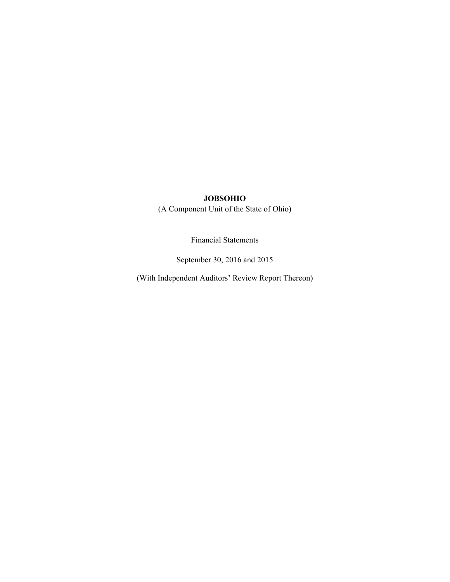(A Component Unit of the State of Ohio)

Financial Statements

September 30, 2016 and 2015

(With Independent Auditors' Review Report Thereon)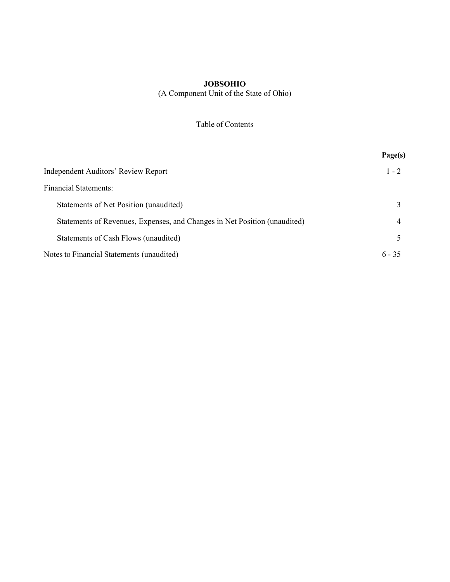(A Component Unit of the State of Ohio)

|  | Table of Contents |
|--|-------------------|
|  |                   |

|                                                                           | Page(s)  |
|---------------------------------------------------------------------------|----------|
| Independent Auditors' Review Report                                       | $1 - 2$  |
| <b>Financial Statements:</b>                                              |          |
| Statements of Net Position (unaudited)                                    |          |
| Statements of Revenues, Expenses, and Changes in Net Position (unaudited) | 4        |
| Statements of Cash Flows (unaudited)                                      |          |
| Notes to Financial Statements (unaudited)                                 | $6 - 35$ |
|                                                                           |          |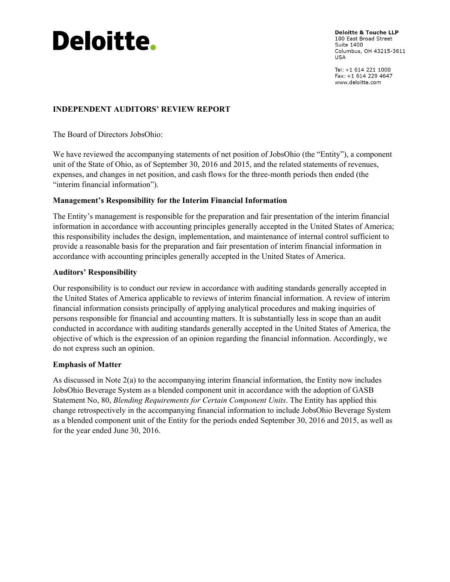# **Deloitte.**

**Deloitte & Touche LLP** 180 East Broad Street Suite 1400 Columbus, OH 43215-3611 **USA** 

Tel: +1 614 221 1000 Fax: +1 614 229 4647 www.deloitte.com

# **INDEPENDENT AUDITORS' REVIEW REPORT**

The Board of Directors JobsOhio:

We have reviewed the accompanying statements of net position of JobsOhio (the "Entity"), a component unit of the State of Ohio, as of September 30, 2016 and 2015, and the related statements of revenues, expenses, and changes in net position, and cash flows for the three-month periods then ended (the "interim financial information").

# **Management's Responsibility for the Interim Financial Information**

The Entity's management is responsible for the preparation and fair presentation of the interim financial information in accordance with accounting principles generally accepted in the United States of America; this responsibility includes the design, implementation, and maintenance of internal control sufficient to provide a reasonable basis for the preparation and fair presentation of interim financial information in accordance with accounting principles generally accepted in the United States of America.

#### **Auditors' Responsibility**

Our responsibility is to conduct our review in accordance with auditing standards generally accepted in the United States of America applicable to reviews of interim financial information. A review of interim financial information consists principally of applying analytical procedures and making inquiries of persons responsible for financial and accounting matters. It is substantially less in scope than an audit conducted in accordance with auditing standards generally accepted in the United States of America, the objective of which is the expression of an opinion regarding the financial information. Accordingly, we do not express such an opinion.

## **Emphasis of Matter**

As discussed in Note 2(a) to the accompanying interim financial information, the Entity now includes JobsOhio Beverage System as a blended component unit in accordance with the adoption of GASB Statement No, 80, *Blending Requirements for Certain Component Units*. The Entity has applied this change retrospectively in the accompanying financial information to include JobsOhio Beverage System as a blended component unit of the Entity for the periods ended September 30, 2016 and 2015, as well as for the year ended June 30, 2016.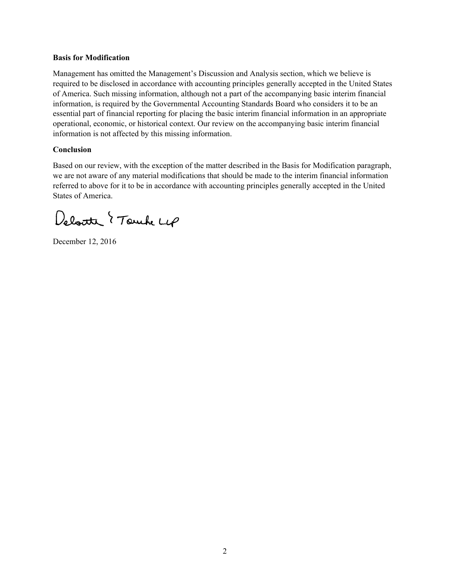#### **Basis for Modification**

Management has omitted the Management's Discussion and Analysis section, which we believe is required to be disclosed in accordance with accounting principles generally accepted in the United States of America. Such missing information, although not a part of the accompanying basic interim financial information, is required by the Governmental Accounting Standards Board who considers it to be an essential part of financial reporting for placing the basic interim financial information in an appropriate operational, economic, or historical context. Our review on the accompanying basic interim financial information is not affected by this missing information.

#### **Conclusion**

Based on our review, with the exception of the matter described in the Basis for Modification paragraph, we are not aware of any material modifications that should be made to the interim financial information referred to above for it to be in accordance with accounting principles generally accepted in the United States of America.

Deloite { Touch Lep

December 12, 2016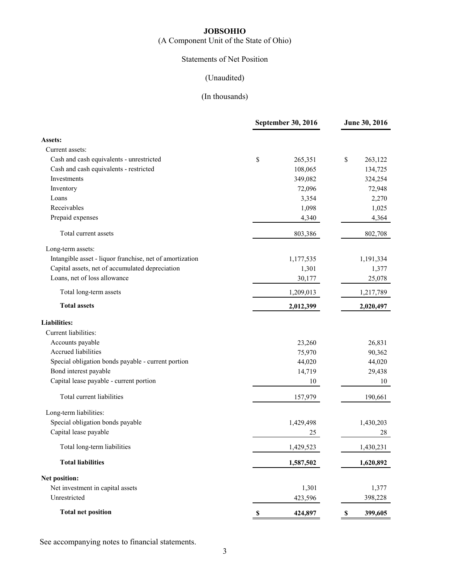(A Component Unit of the State of Ohio)

# Statements of Net Position

# (Unaudited)

# (In thousands)

|                                                          | September 30, 2016     | June 30, 2016 |
|----------------------------------------------------------|------------------------|---------------|
| <b>Assets:</b>                                           |                        |               |
| Current assets:                                          |                        |               |
| Cash and cash equivalents - unrestricted                 | \$<br>265,351          | \$<br>263,122 |
| Cash and cash equivalents - restricted                   | 108,065                | 134,725       |
| Investments                                              | 349,082                | 324,254       |
| Inventory                                                | 72,096                 | 72,948        |
| Loans                                                    | 3,354                  | 2,270         |
| Receivables                                              | 1,098                  | 1,025         |
| Prepaid expenses                                         | 4,340                  | 4,364         |
| Total current assets                                     | 803,386                | 802,708       |
| Long-term assets:                                        |                        |               |
| Intangible asset - liquor franchise, net of amortization | 1,177,535              | 1,191,334     |
| Capital assets, net of accumulated depreciation          | 1,301                  | 1,377         |
| Loans, net of loss allowance                             | 30,177                 | 25,078        |
| Total long-term assets                                   | 1,209,013              | 1,217,789     |
| <b>Total assets</b>                                      | 2,012,399              | 2,020,497     |
| <b>Liabilities:</b>                                      |                        |               |
| Current liabilities:                                     |                        |               |
| Accounts payable                                         | 23,260                 | 26,831        |
| Accrued liabilities                                      | 75,970                 | 90,362        |
| Special obligation bonds payable - current portion       | 44,020                 | 44,020        |
| Bond interest payable                                    | 14,719                 | 29,438        |
| Capital lease payable - current portion                  | 10                     | 10            |
| Total current liabilities                                | 157,979                | 190,661       |
| Long-term liabilities:                                   |                        |               |
| Special obligation bonds payable                         | 1,429,498              | 1,430,203     |
| Capital lease payable                                    | 25                     | 28            |
| Total long-term liabilities                              | 1,429,523              | 1,430,231     |
| <b>Total liabilities</b>                                 | 1,587,502              | 1,620,892     |
| Net position:                                            |                        |               |
| Net investment in capital assets                         | 1,301                  | 1,377         |
| Unrestricted                                             | 423,596                | 398,228       |
| <b>Total net position</b>                                | $\mathbb S$<br>424,897 | \$<br>399,605 |

See accompanying notes to financial statements.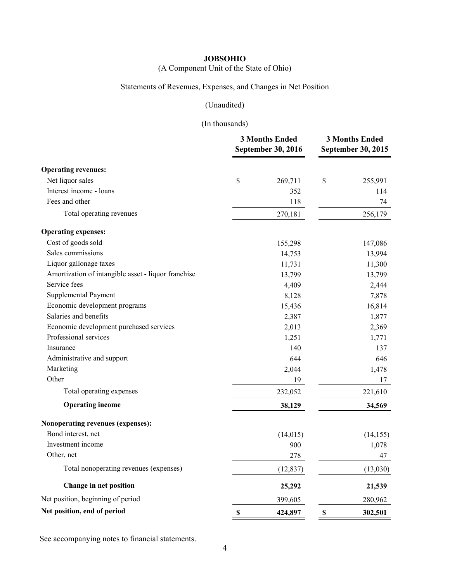(A Component Unit of the State of Ohio)

# Statements of Revenues, Expenses, and Changes in Net Position

# (Unaudited)

# (In thousands)

|                                                     |             | <b>3 Months Ended</b><br><b>September 30, 2016</b> |             | <b>3 Months Ended</b><br>September 30, 2015 |
|-----------------------------------------------------|-------------|----------------------------------------------------|-------------|---------------------------------------------|
| <b>Operating revenues:</b>                          |             |                                                    |             |                                             |
| Net liquor sales                                    | \$          | 269,711                                            | \$          | 255,991                                     |
| Interest income - loans                             |             | 352                                                |             | 114                                         |
| Fees and other                                      |             | 118                                                |             | 74                                          |
| Total operating revenues                            |             | 270,181                                            |             | 256,179                                     |
| <b>Operating expenses:</b>                          |             |                                                    |             |                                             |
| Cost of goods sold                                  |             | 155,298                                            |             | 147,086                                     |
| Sales commissions                                   |             | 14,753                                             |             | 13,994                                      |
| Liquor gallonage taxes                              |             | 11,731                                             |             | 11,300                                      |
| Amortization of intangible asset - liquor franchise |             | 13,799                                             |             | 13,799                                      |
| Service fees                                        |             | 4,409                                              |             | 2,444                                       |
| Supplemental Payment                                |             | 8,128                                              |             | 7,878                                       |
| Economic development programs                       |             | 15,436                                             |             | 16,814                                      |
| Salaries and benefits                               |             | 2,387                                              |             | 1,877                                       |
| Economic development purchased services             |             | 2,013                                              |             | 2,369                                       |
| Professional services                               |             | 1,251                                              |             | 1,771                                       |
| Insurance                                           |             | 140                                                |             | 137                                         |
| Administrative and support                          |             | 644                                                |             | 646                                         |
| Marketing                                           |             | 2,044                                              |             | 1,478                                       |
| Other                                               |             | 19                                                 |             | 17                                          |
| Total operating expenses                            |             | 232,052                                            |             | 221,610                                     |
| <b>Operating income</b>                             |             | 38,129                                             |             | 34,569                                      |
| Nonoperating revenues (expenses):                   |             |                                                    |             |                                             |
| Bond interest, net                                  |             | (14, 015)                                          |             | (14, 155)                                   |
| Investment income                                   |             | 900                                                |             | 1,078                                       |
| Other, net                                          |             | 278                                                |             | 47                                          |
| Total nonoperating revenues (expenses)              |             | (12, 837)                                          |             | (13,030)                                    |
| Change in net position                              |             | 25,292                                             |             | 21,539                                      |
| Net position, beginning of period                   |             | 399,605                                            |             | 280,962                                     |
| Net position, end of period                         | $\mathbf S$ | 424,897                                            | $\mathbf S$ | 302,501                                     |

See accompanying notes to financial statements.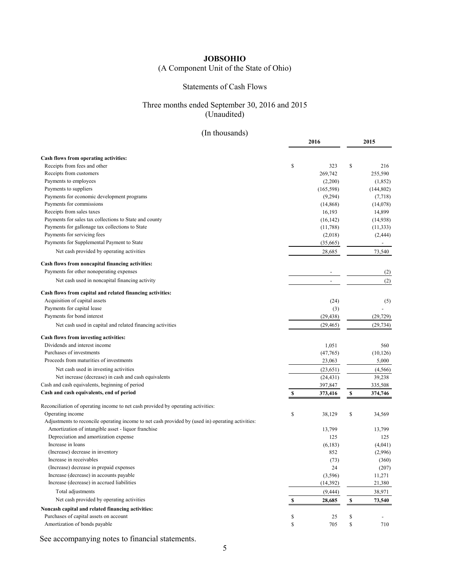# (A Component Unit of the State of Ohio)

#### Statements of Cash Flows

## Three months ended September 30, 2016 and 2015 (Unaudited)

# (In thousands)

|                                                                                                      | 2016 |            |    | 2015                     |
|------------------------------------------------------------------------------------------------------|------|------------|----|--------------------------|
|                                                                                                      |      |            |    |                          |
| Cash flows from operating activities:                                                                |      |            |    |                          |
| Receipts from fees and other                                                                         | \$   | 323        | \$ | 216                      |
| Receipts from customers                                                                              |      | 269,742    |    | 255,590                  |
| Payments to employees                                                                                |      | (2,200)    |    | (1,852)                  |
| Payments to suppliers                                                                                |      | (165, 598) |    | (144, 802)               |
| Payments for economic development programs                                                           |      | (9,294)    |    | (7,718)                  |
| Payments for commissions                                                                             |      | (14, 868)  |    | (14,078)                 |
| Receipts from sales taxes                                                                            |      | 16,193     |    | 14,899                   |
| Payments for sales tax collections to State and county                                               |      | (16, 142)  |    | (14, 938)                |
| Payments for gallonage tax collections to State                                                      |      | (11,788)   |    | (11, 333)                |
| Payments for servicing fees                                                                          |      | (2,018)    |    | (2, 444)                 |
| Payments for Supplemental Payment to State                                                           |      | (35,665)   |    | $\overline{\phantom{a}}$ |
| Net cash provided by operating activities                                                            |      | 28,685     |    | 73,540                   |
| Cash flows from noncapital financing activities:                                                     |      |            |    |                          |
| Payments for other nonoperating expenses                                                             |      |            |    | (2)                      |
| Net cash used in noncapital financing activity                                                       |      |            |    | (2)                      |
| Cash flows from capital and related financing activities:                                            |      |            |    |                          |
| Acquisition of capital assets                                                                        |      | (24)       |    | (5)                      |
| Payments for capital lease                                                                           |      | (3)        |    |                          |
| Payments for bond interest                                                                           |      | (29, 438)  |    | (29, 729)                |
| Net cash used in capital and related financing activities                                            |      | (29, 465)  |    | (29, 734)                |
| Cash flows from investing activities:                                                                |      |            |    |                          |
| Dividends and interest income                                                                        |      | 1,051      |    | 560                      |
| Purchases of investments                                                                             |      | (47,765)   |    | (10, 126)                |
| Proceeds from maturities of investments                                                              |      | 23,063     |    | 5,000                    |
| Net cash used in investing activities                                                                |      | (23, 651)  |    | (4, 566)                 |
| Net increase (decrease) in cash and cash equivalents                                                 |      | (24, 431)  |    | 39,238                   |
| Cash and cash equivalents, beginning of period                                                       |      | 397,847    |    | 335,508                  |
| Cash and cash equivalents, end of period                                                             | \$   | 373,416    | \$ | 374,746                  |
|                                                                                                      |      |            |    |                          |
| Reconciliation of operating income to net cash provided by operating activities:<br>Operating income |      |            |    |                          |
| Adjustments to reconcile operating income to net cash provided by (used in) operating activities:    | \$   | 38,129     | \$ | 34,569                   |
| Amortization of intangible asset - liquor franchise                                                  |      | 13,799     |    | 13,799                   |
| Depreciation and amortization expense                                                                |      | 125        |    | 125                      |
| Increase in loans                                                                                    |      | (6,183)    |    | (4,041)                  |
| (Increase) decrease in inventory                                                                     |      | 852        |    | (2,996)                  |
| Increase in receivables                                                                              |      | (73)       |    | (360)                    |
| (Increase) decrease in prepaid expenses                                                              |      | 24         |    | (207)                    |
| Increase (decrease) in accounts payable                                                              |      | (3,596)    |    | 11,271                   |
| Increase (decrease) in accrued liabilities                                                           |      | (14, 392)  |    | 21,380                   |
| Total adjustments                                                                                    |      | (9, 444)   |    |                          |
| Net cash provided by operating activities                                                            |      |            |    | 38,971                   |
| Noncash capital and related financing activities:                                                    | \$   | 28,685     | \$ | 73,540                   |
| Purchases of capital assets on account                                                               | \$   | 25         | \$ | $\overline{\phantom{a}}$ |
| Amortization of bonds payable                                                                        | \$   | 705        | \$ | 710                      |
|                                                                                                      |      |            |    |                          |

See accompanying notes to financial statements.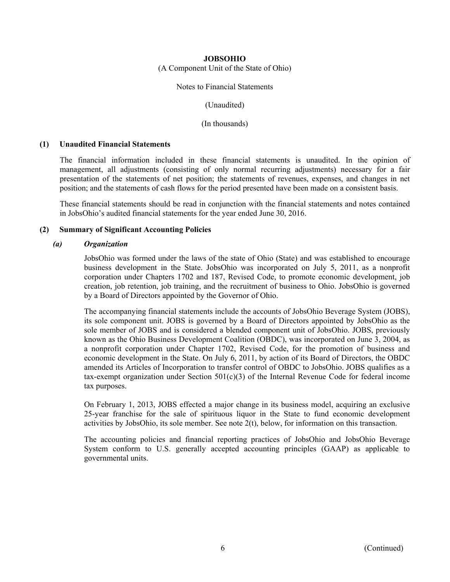(A Component Unit of the State of Ohio)

#### Notes to Financial Statements

(Unaudited)

(In thousands)

#### **(1) Unaudited Financial Statements**

The financial information included in these financial statements is unaudited. In the opinion of management, all adjustments (consisting of only normal recurring adjustments) necessary for a fair presentation of the statements of net position; the statements of revenues, expenses, and changes in net position; and the statements of cash flows for the period presented have been made on a consistent basis.

These financial statements should be read in conjunction with the financial statements and notes contained in JobsOhio's audited financial statements for the year ended June 30, 2016.

#### **(2) Summary of Significant Accounting Policies**

#### *(a) Organization*

JobsOhio was formed under the laws of the state of Ohio (State) and was established to encourage business development in the State. JobsOhio was incorporated on July 5, 2011, as a nonprofit corporation under Chapters 1702 and 187, Revised Code, to promote economic development, job creation, job retention, job training, and the recruitment of business to Ohio. JobsOhio is governed by a Board of Directors appointed by the Governor of Ohio.

The accompanying financial statements include the accounts of JobsOhio Beverage System (JOBS), its sole component unit. JOBS is governed by a Board of Directors appointed by JobsOhio as the sole member of JOBS and is considered a blended component unit of JobsOhio. JOBS, previously known as the Ohio Business Development Coalition (OBDC), was incorporated on June 3, 2004, as a nonprofit corporation under Chapter 1702, Revised Code, for the promotion of business and economic development in the State. On July 6, 2011, by action of its Board of Directors, the OBDC amended its Articles of Incorporation to transfer control of OBDC to JobsOhio. JOBS qualifies as a tax-exempt organization under Section  $501(c)(3)$  of the Internal Revenue Code for federal income tax purposes.

On February 1, 2013, JOBS effected a major change in its business model, acquiring an exclusive 25-year franchise for the sale of spirituous liquor in the State to fund economic development activities by JobsOhio, its sole member. See note 2(t), below, for information on this transaction.

The accounting policies and financial reporting practices of JobsOhio and JobsOhio Beverage System conform to U.S. generally accepted accounting principles (GAAP) as applicable to governmental units.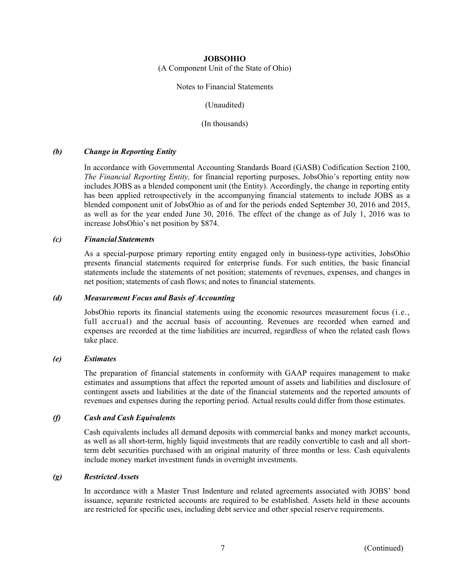(A Component Unit of the State of Ohio)

Notes to Financial Statements

(Unaudited)

(In thousands)

#### *(b) Change in Reporting Entity*

In accordance with Governmental Accounting Standards Board (GASB) Codification Section 2100, *The Financial Reporting Entity,* for financial reporting purposes, JobsOhio's reporting entity now includes JOBS as a blended component unit (the Entity). Accordingly, the change in reporting entity has been applied retrospectively in the accompanying financial statements to include JOBS as a blended component unit of JobsOhio as of and for the periods ended September 30, 2016 and 2015, as well as for the year ended June 30, 2016. The effect of the change as of July 1, 2016 was to increase JobsOhio's net position by \$874.

#### *(c) Financial Statements*

As a special-purpose primary reporting entity engaged only in business-type activities, JobsOhio presents financial statements required for enterprise funds. For such entities, the basic financial statements include the statements of net position; statements of revenues, expenses, and changes in net position; statements of cash flows; and notes to financial statements.

#### *(d) Measurement Focus and Basis of Accounting*

JobsOhio reports its financial statements using the economic resources measurement focus (i.e., full accrual) and the accrual basis of accounting. Revenues are recorded when earned and expenses are recorded at the time liabilities are incurred, regardless of when the related cash flows take place.

#### *(e) Estimates*

The preparation of financial statements in conformity with GAAP requires management to make estimates and assumptions that affect the reported amount of assets and liabilities and disclosure of contingent assets and liabilities at the date of the financial statements and the reported amounts of revenues and expenses during the reporting period. Actual results could differ from those estimates.

#### *(f) Cash and Cash Equivalents*

Cash equivalents includes all demand deposits with commercial banks and money market accounts, as well as all short-term, highly liquid investments that are readily convertible to cash and all shortterm debt securities purchased with an original maturity of three months or less. Cash equivalents include money market investment funds in overnight investments.

#### *(g) Restricted Assets*

In accordance with a Master Trust Indenture and related agreements associated with JOBS' bond issuance, separate restricted accounts are required to be established. Assets held in these accounts are restricted for specific uses, including debt service and other special reserve requirements.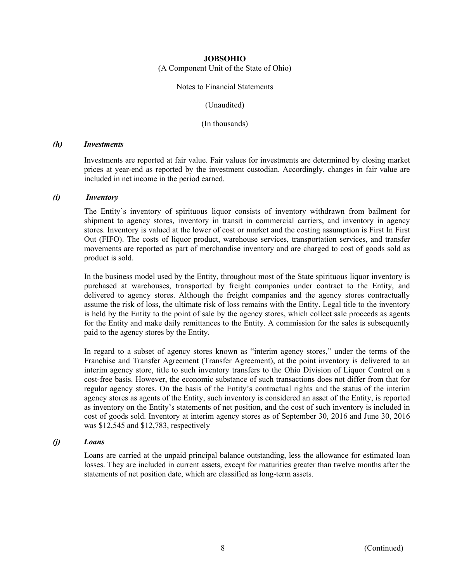(A Component Unit of the State of Ohio)

#### Notes to Financial Statements

(Unaudited)

(In thousands)

#### *(h) Investments*

Investments are reported at fair value. Fair values for investments are determined by closing market prices at year-end as reported by the investment custodian. Accordingly, changes in fair value are included in net income in the period earned.

#### *(i) Inventory*

The Entity's inventory of spirituous liquor consists of inventory withdrawn from bailment for shipment to agency stores, inventory in transit in commercial carriers, and inventory in agency stores. Inventory is valued at the lower of cost or market and the costing assumption is First In First Out (FIFO). The costs of liquor product, warehouse services, transportation services, and transfer movements are reported as part of merchandise inventory and are charged to cost of goods sold as product is sold.

In the business model used by the Entity, throughout most of the State spirituous liquor inventory is purchased at warehouses, transported by freight companies under contract to the Entity, and delivered to agency stores. Although the freight companies and the agency stores contractually assume the risk of loss, the ultimate risk of loss remains with the Entity. Legal title to the inventory is held by the Entity to the point of sale by the agency stores, which collect sale proceeds as agents for the Entity and make daily remittances to the Entity. A commission for the sales is subsequently paid to the agency stores by the Entity.

In regard to a subset of agency stores known as "interim agency stores," under the terms of the Franchise and Transfer Agreement (Transfer Agreement), at the point inventory is delivered to an interim agency store, title to such inventory transfers to the Ohio Division of Liquor Control on a cost-free basis. However, the economic substance of such transactions does not differ from that for regular agency stores. On the basis of the Entity's contractual rights and the status of the interim agency stores as agents of the Entity, such inventory is considered an asset of the Entity, is reported as inventory on the Entity's statements of net position, and the cost of such inventory is included in cost of goods sold. Inventory at interim agency stores as of September 30, 2016 and June 30, 2016 was \$12,545 and \$12,783, respectively

#### *(j) Loans*

Loans are carried at the unpaid principal balance outstanding, less the allowance for estimated loan losses. They are included in current assets, except for maturities greater than twelve months after the statements of net position date, which are classified as long-term assets.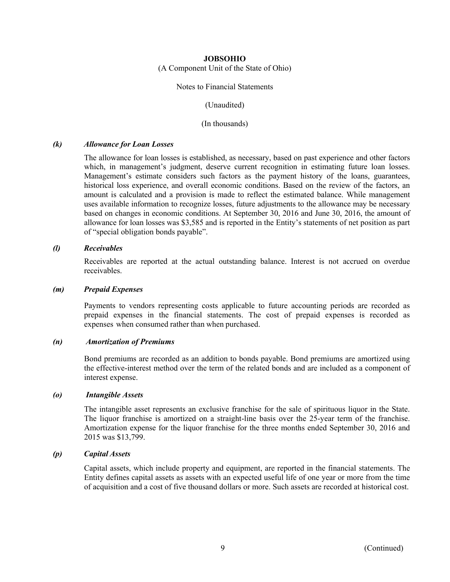(A Component Unit of the State of Ohio)

#### Notes to Financial Statements

(Unaudited)

(In thousands)

#### *(k) Allowance for Loan Losses*

The allowance for loan losses is established, as necessary, based on past experience and other factors which, in management's judgment, deserve current recognition in estimating future loan losses. Management's estimate considers such factors as the payment history of the loans, guarantees, historical loss experience, and overall economic conditions. Based on the review of the factors, an amount is calculated and a provision is made to reflect the estimated balance. While management uses available information to recognize losses, future adjustments to the allowance may be necessary based on changes in economic conditions. At September 30, 2016 and June 30, 2016, the amount of allowance for loan losses was \$3,585 and is reported in the Entity's statements of net position as part of "special obligation bonds payable".

#### *(l) Receivables*

Receivables are reported at the actual outstanding balance. Interest is not accrued on overdue receivables.

#### *(m) Prepaid Expenses*

Payments to vendors representing costs applicable to future accounting periods are recorded as prepaid expenses in the financial statements. The cost of prepaid expenses is recorded as expenses when consumed rather than when purchased.

#### *(n) Amortization of Premiums*

Bond premiums are recorded as an addition to bonds payable. Bond premiums are amortized using the effective-interest method over the term of the related bonds and are included as a component of interest expense.

#### *(o) Intangible Assets*

The intangible asset represents an exclusive franchise for the sale of spirituous liquor in the State. The liquor franchise is amortized on a straight-line basis over the 25-year term of the franchise. Amortization expense for the liquor franchise for the three months ended September 30, 2016 and 2015 was \$13,799.

#### *(p) Capital Assets*

Capital assets, which include property and equipment, are reported in the financial statements. The Entity defines capital assets as assets with an expected useful life of one year or more from the time of acquisition and a cost of five thousand dollars or more. Such assets are recorded at historical cost.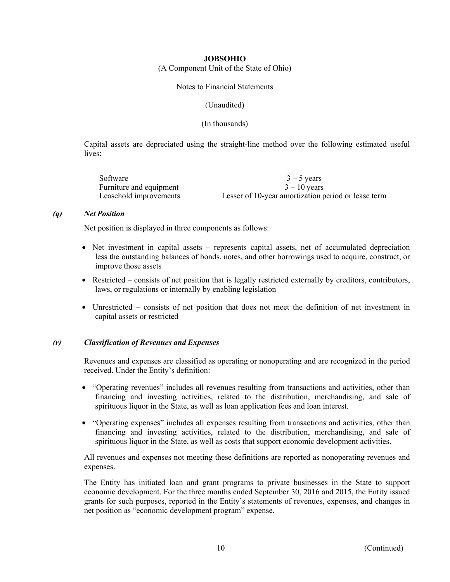(A Component Unit of the State of Ohio)

Notes to Financial Statements

(Unaudited)

(In thousands)

Capital assets are depreciated using the straight-line method over the following estimated useful lives:

| Software                | $3 - 5$ years                                       |
|-------------------------|-----------------------------------------------------|
| Furniture and equipment | $3 - 10$ vears                                      |
| Leasehold improvements  | Lesser of 10-year amortization period or lease term |

#### *(q) Net Position*

Net position is displayed in three components as follows:

- Net investment in capital assets represents capital assets, net of accumulated depreciation less the outstanding balances of bonds, notes, and other borrowings used to acquire, construct, or improve those assets
- Restricted consists of net position that is legally restricted externally by creditors, contributors, laws, or regulations or internally by enabling legislation
- Unrestricted consists of net position that does not meet the definition of net investment in capital assets or restricted

#### *(r) Classification of Revenues and Expenses*

Revenues and expenses are classified as operating or nonoperating and are recognized in the period received. Under the Entity's definition:

- "Operating revenues" includes all revenues resulting from transactions and activities, other than financing and investing activities, related to the distribution, merchandising, and sale of spirituous liquor in the State, as well as loan application fees and loan interest.
- "Operating expenses" includes all expenses resulting from transactions and activities, other than financing and investing activities, related to the distribution, merchandising, and sale of spirituous liquor in the State, as well as costs that support economic development activities.

All revenues and expenses not meeting these definitions are reported as nonoperating revenues and expenses.

The Entity has initiated loan and grant programs to private businesses in the State to support economic development. For the three months ended September 30, 2016 and 2015, the Entity issued grants for such purposes, reported in the Entity's statements of revenues, expenses, and changes in net position as "economic development program" expense.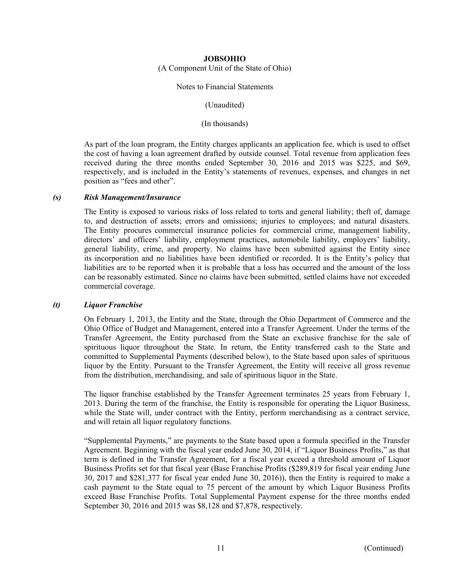(A Component Unit of the State of Ohio)

#### Notes to Financial Statements

(Unaudited)

(In thousands)

As part of the loan program, the Entity charges applicants an application fee, which is used to offset the cost of having a loan agreement drafted by outside counsel. Total revenue from application fees received during the three months ended September 30, 2016 and 2015 was \$225, and \$69, respectively, and is included in the Entity's statements of revenues, expenses, and changes in net position as "fees and other".

#### *(s) Risk Management/Insurance*

The Entity is exposed to various risks of loss related to torts and general liability; theft of, damage to, and destruction of assets; errors and omissions; injuries to employees; and natural disasters. The Entity procures commercial insurance policies for commercial crime, management liability, directors' and officers' liability, employment practices, automobile liability, employers' liability, general liability, crime, and property. No claims have been submitted against the Entity since its incorporation and no liabilities have been identified or recorded. It is the Entity's policy that liabilities are to be reported when it is probable that a loss has occurred and the amount of the loss can be reasonably estimated. Since no claims have been submitted, settled claims have not exceeded commercial coverage.

#### *(t) Liquor Franchise*

On February 1, 2013, the Entity and the State, through the Ohio Department of Commerce and the Ohio Office of Budget and Management, entered into a Transfer Agreement. Under the terms of the Transfer Agreement, the Entity purchased from the State an exclusive franchise for the sale of spirituous liquor throughout the State. In return, the Entity transferred cash to the State and committed to Supplemental Payments (described below), to the State based upon sales of spirituous liquor by the Entity. Pursuant to the Transfer Agreement, the Entity will receive all gross revenue from the distribution, merchandising, and sale of spirituous liquor in the State.

The liquor franchise established by the Transfer Agreement terminates 25 years from February 1, 2013. During the term of the franchise, the Entity is responsible for operating the Liquor Business, while the State will, under contract with the Entity, perform merchandising as a contract service, and will retain all liquor regulatory functions.

"Supplemental Payments," are payments to the State based upon a formula specified in the Transfer Agreement. Beginning with the fiscal year ended June 30, 2014, if "Liquor Business Profits," as that term is defined in the Transfer Agreement, for a fiscal year exceed a threshold amount of Liquor Business Profits set for that fiscal year (Base Franchise Profits (\$289,819 for fiscal year ending June 30, 2017 and \$281,377 for fiscal year ended June 30, 2016)), then the Entity is required to make a cash payment to the State equal to 75 percent of the amount by which Liquor Business Profits exceed Base Franchise Profits. Total Supplemental Payment expense for the three months ended September 30, 2016 and 2015 was \$8,128 and \$7,878, respectively.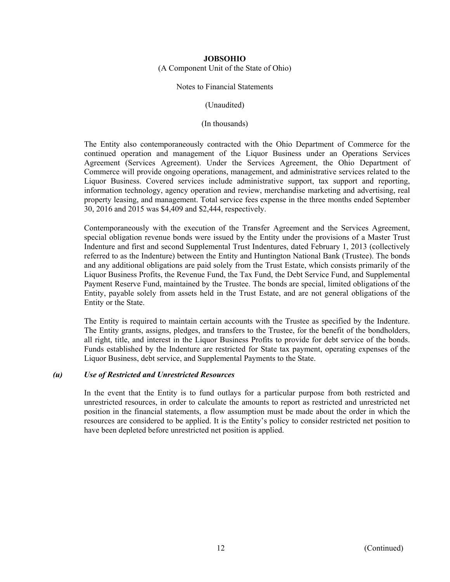(A Component Unit of the State of Ohio)

#### Notes to Financial Statements

(Unaudited)

(In thousands)

The Entity also contemporaneously contracted with the Ohio Department of Commerce for the continued operation and management of the Liquor Business under an Operations Services Agreement (Services Agreement). Under the Services Agreement, the Ohio Department of Commerce will provide ongoing operations, management, and administrative services related to the Liquor Business. Covered services include administrative support, tax support and reporting, information technology, agency operation and review, merchandise marketing and advertising, real property leasing, and management. Total service fees expense in the three months ended September 30, 2016 and 2015 was \$4,409 and \$2,444, respectively.

Contemporaneously with the execution of the Transfer Agreement and the Services Agreement, special obligation revenue bonds were issued by the Entity under the provisions of a Master Trust Indenture and first and second Supplemental Trust Indentures, dated February 1, 2013 (collectively referred to as the Indenture) between the Entity and Huntington National Bank (Trustee). The bonds and any additional obligations are paid solely from the Trust Estate, which consists primarily of the Liquor Business Profits, the Revenue Fund, the Tax Fund, the Debt Service Fund, and Supplemental Payment Reserve Fund, maintained by the Trustee. The bonds are special, limited obligations of the Entity, payable solely from assets held in the Trust Estate, and are not general obligations of the Entity or the State.

The Entity is required to maintain certain accounts with the Trustee as specified by the Indenture. The Entity grants, assigns, pledges, and transfers to the Trustee, for the benefit of the bondholders, all right, title, and interest in the Liquor Business Profits to provide for debt service of the bonds. Funds established by the Indenture are restricted for State tax payment, operating expenses of the Liquor Business, debt service, and Supplemental Payments to the State.

#### *(u) Use of Restricted and Unrestricted Resources*

In the event that the Entity is to fund outlays for a particular purpose from both restricted and unrestricted resources, in order to calculate the amounts to report as restricted and unrestricted net position in the financial statements, a flow assumption must be made about the order in which the resources are considered to be applied. It is the Entity's policy to consider restricted net position to have been depleted before unrestricted net position is applied.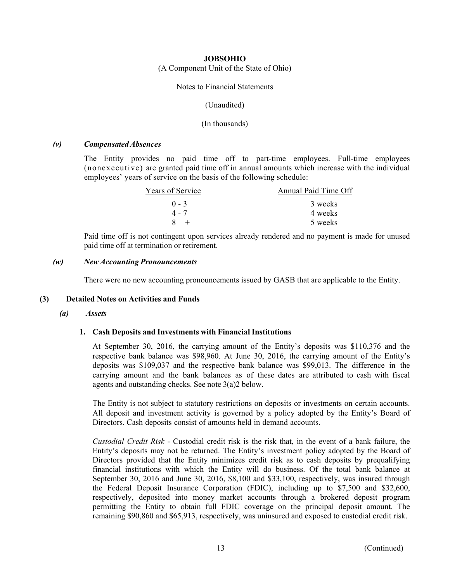(A Component Unit of the State of Ohio)

#### Notes to Financial Statements

(Unaudited)

(In thousands)

#### *(v) Compensated Absences*

The Entity provides no paid time off to part-time employees. Full-time employees (nonexecutive) are granted paid time off in annual amounts which increase with the individual employees' years of service on the basis of the following schedule:

| Years of Service | Annual Paid Time Off |
|------------------|----------------------|
| $() - 3$         | 3 weeks              |
| 4 - 7            | 4 weeks              |
|                  | 5 weeks              |

Paid time off is not contingent upon services already rendered and no payment is made for unused paid time off at termination or retirement.

#### *(w) New Accounting Pronouncements*

There were no new accounting pronouncements issued by GASB that are applicable to the Entity.

#### **(3) Detailed Notes on Activities and Funds**

#### *(a) Assets*

#### **1. Cash Deposits and Investments with Financial Institutions**

At September 30, 2016, the carrying amount of the Entity's deposits was \$110,376 and the respective bank balance was \$98,960. At June 30, 2016, the carrying amount of the Entity's deposits was \$109,037 and the respective bank balance was \$99,013. The difference in the carrying amount and the bank balances as of these dates are attributed to cash with fiscal agents and outstanding checks. See note 3(a)2 below.

The Entity is not subject to statutory restrictions on deposits or investments on certain accounts. All deposit and investment activity is governed by a policy adopted by the Entity's Board of Directors. Cash deposits consist of amounts held in demand accounts.

*Custodial Credit Risk* - Custodial credit risk is the risk that, in the event of a bank failure, the Entity's deposits may not be returned. The Entity's investment policy adopted by the Board of Directors provided that the Entity minimizes credit risk as to cash deposits by prequalifying financial institutions with which the Entity will do business. Of the total bank balance at September 30, 2016 and June 30, 2016, \$8,100 and \$33,100, respectively, was insured through the Federal Deposit Insurance Corporation (FDIC), including up to \$7,500 and \$32,600, respectively, deposited into money market accounts through a brokered deposit program permitting the Entity to obtain full FDIC coverage on the principal deposit amount. The remaining \$90,860 and \$65,913, respectively, was uninsured and exposed to custodial credit risk.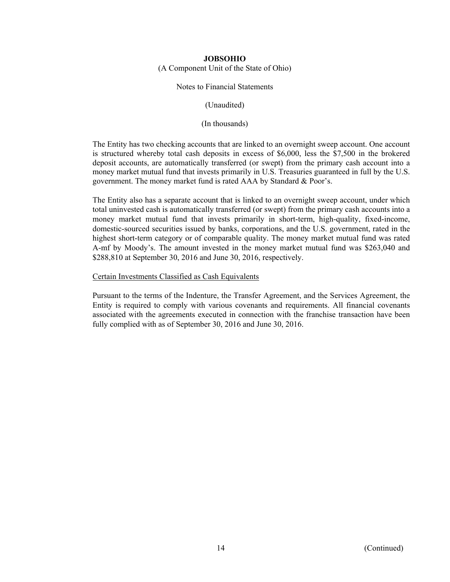(A Component Unit of the State of Ohio)

#### Notes to Financial Statements

(Unaudited)

(In thousands)

The Entity has two checking accounts that are linked to an overnight sweep account. One account is structured whereby total cash deposits in excess of \$6,000, less the \$7,500 in the brokered deposit accounts, are automatically transferred (or swept) from the primary cash account into a money market mutual fund that invests primarily in U.S. Treasuries guaranteed in full by the U.S. government. The money market fund is rated AAA by Standard & Poor's.

The Entity also has a separate account that is linked to an overnight sweep account, under which total uninvested cash is automatically transferred (or swept) from the primary cash accounts into a money market mutual fund that invests primarily in short-term, high-quality, fixed-income, domestic-sourced securities issued by banks, corporations, and the U.S. government, rated in the highest short-term category or of comparable quality. The money market mutual fund was rated A-mf by Moody's. The amount invested in the money market mutual fund was \$263,040 and \$288,810 at September 30, 2016 and June 30, 2016, respectively.

#### Certain Investments Classified as Cash Equivalents

Pursuant to the terms of the Indenture, the Transfer Agreement, and the Services Agreement, the Entity is required to comply with various covenants and requirements. All financial covenants associated with the agreements executed in connection with the franchise transaction have been fully complied with as of September 30, 2016 and June 30, 2016.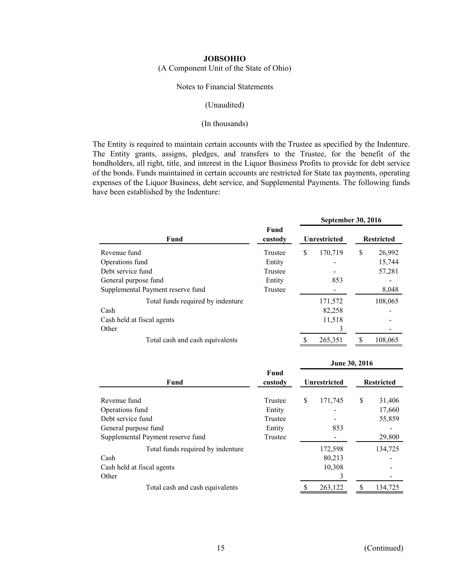(A Component Unit of the State of Ohio)

#### Notes to Financial Statements

#### (Unaudited)

#### (In thousands)

The Entity is required to maintain certain accounts with the Trustee as specified by the Indenture. The Entity grants, assigns, pledges, and transfers to the Trustee, for the benefit of the bondholders, all right, title, and interest in the Liquor Business Profits to provide for debt service of the bonds. Funds maintained in certain accounts are restricted for State tax payments, operating expenses of the Liquor Business, debt service, and Supplemental Payments. The following funds have been established by the Indenture:

|                                   |                 | <b>September 30, 2016</b> |                     |                   |         |  |  |  |
|-----------------------------------|-----------------|---------------------------|---------------------|-------------------|---------|--|--|--|
| Fund                              | Fund<br>custody |                           | <b>Unrestricted</b> | <b>Restricted</b> |         |  |  |  |
| Revenue fund                      | Trustee         | \$                        | 170,719             | \$                | 26,992  |  |  |  |
| Operations fund                   | Entity          |                           |                     |                   | 15,744  |  |  |  |
| Debt service fund                 | Trustee         |                           |                     |                   | 57,281  |  |  |  |
| General purpose fund              | Entity          |                           | 853                 |                   |         |  |  |  |
| Supplemental Payment reserve fund | Trustee         |                           |                     |                   | 8,048   |  |  |  |
| Total funds required by indenture |                 |                           | 171,572             |                   | 108,065 |  |  |  |
| Cash                              |                 |                           | 82,258              |                   |         |  |  |  |
| Cash held at fiscal agents        |                 |                           | 11,518              |                   |         |  |  |  |
| Other                             |                 |                           | 3                   |                   |         |  |  |  |
| Total cash and cash equivalents   |                 |                           | 265,351             |                   | 108,065 |  |  |  |

|                                   |                 |    | June 30, 2016       |    |                   |  |  |
|-----------------------------------|-----------------|----|---------------------|----|-------------------|--|--|
| <b>Fund</b>                       | Fund<br>custody |    | <b>Unrestricted</b> |    | <b>Restricted</b> |  |  |
| Revenue fund                      | Trustee         | \$ | 171,745             | \$ | 31,406            |  |  |
| Operations fund                   | Entity          |    |                     |    | 17,660            |  |  |
| Debt service fund                 | Trustee         |    |                     |    | 55,859            |  |  |
| General purpose fund              | Entity          |    | 853                 |    |                   |  |  |
| Supplemental Payment reserve fund | Trustee         |    |                     |    | 29,800            |  |  |
| Total funds required by indenture |                 |    | 172,598             |    | 134,725           |  |  |
| Cash                              |                 |    | 80,213              |    |                   |  |  |
| Cash held at fiscal agents        |                 |    | 10,308              |    |                   |  |  |
| Other                             |                 |    | 3                   |    |                   |  |  |
| Total cash and cash equivalents   |                 | S  | 263,122             | S  | 134,725           |  |  |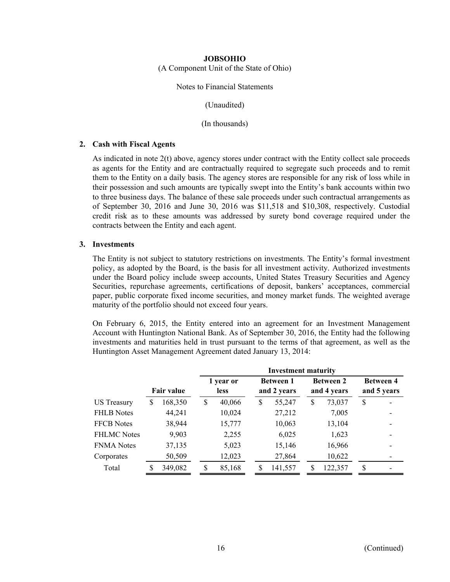(A Component Unit of the State of Ohio)

#### Notes to Financial Statements

(Unaudited)

(In thousands)

#### **2. Cash with Fiscal Agents**

As indicated in note 2(t) above, agency stores under contract with the Entity collect sale proceeds as agents for the Entity and are contractually required to segregate such proceeds and to remit them to the Entity on a daily basis. The agency stores are responsible for any risk of loss while in their possession and such amounts are typically swept into the Entity's bank accounts within two to three business days. The balance of these sale proceeds under such contractual arrangements as of September 30, 2016 and June 30, 2016 was \$11,518 and \$10,308, respectively. Custodial credit risk as to these amounts was addressed by surety bond coverage required under the contracts between the Entity and each agent.

#### **3. Investments**

The Entity is not subject to statutory restrictions on investments. The Entity's formal investment policy, as adopted by the Board, is the basis for all investment activity. Authorized investments under the Board policy include sweep accounts, United States Treasury Securities and Agency Securities, repurchase agreements, certifications of deposit, bankers' acceptances, commercial paper, public corporate fixed income securities, and money market funds. The weighted average maturity of the portfolio should not exceed four years.

On February 6, 2015, the Entity entered into an agreement for an Investment Management Account with Huntington National Bank. As of September 30, 2016, the Entity had the following investments and maturities held in trust pursuant to the terms of that agreement, as well as the Huntington Asset Management Agreement dated January 13, 2014:

|                    |                   |         |                          | <b>Investment maturity</b> |    |                                 |         |    |                                 |                                 |  |  |  |  |  |
|--------------------|-------------------|---------|--------------------------|----------------------------|----|---------------------------------|---------|----|---------------------------------|---------------------------------|--|--|--|--|--|
|                    | <b>Fair value</b> |         | 1 year or<br><b>less</b> |                            |    | <b>Between 1</b><br>and 2 years |         |    | <b>Between 2</b><br>and 4 years | <b>Between 4</b><br>and 5 years |  |  |  |  |  |
| US Treasury        | S                 | 168,350 | \$                       | 40,066                     | \$ |                                 | 55,247  | \$ | 73,037                          | \$                              |  |  |  |  |  |
| <b>FHLB</b> Notes  |                   | 44,241  |                          | 10,024                     |    |                                 | 27,212  |    | 7,005                           |                                 |  |  |  |  |  |
| <b>FFCB</b> Notes  |                   | 38,944  |                          | 15,777                     |    |                                 | 10,063  |    | 13,104                          |                                 |  |  |  |  |  |
| <b>FHLMC</b> Notes |                   | 9,903   |                          | 2,255                      |    |                                 | 6,025   |    | 1,623                           |                                 |  |  |  |  |  |
| <b>FNMA</b> Notes  |                   | 37,135  |                          | 5,023                      |    |                                 | 15,146  |    | 16,966                          |                                 |  |  |  |  |  |
| Corporates         |                   | 50,509  |                          | 12,023                     |    |                                 | 27,864  |    | 10,622                          |                                 |  |  |  |  |  |
| Total              |                   | 349,082 | S                        | 85,168                     | S  |                                 | 141,557 | S  | 122,357                         | \$.                             |  |  |  |  |  |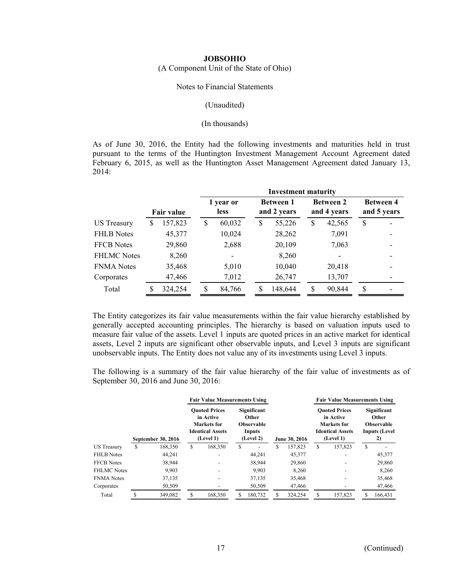(A Component Unit of the State of Ohio)

#### Notes to Financial Statements

#### (Unaudited)

#### (In thousands)

As of June 30, 2016, the Entity had the following investments and maturities held in trust pursuant to the terms of the Huntington Investment Management Account Agreement dated February 6, 2015, as well as the Huntington Asset Management Agreement dated January 13, 2014:

|                   |         |                          | <b>Investment maturity</b> |    |         |                                 |        |                                 |  |  |  |  |  |
|-------------------|---------|--------------------------|----------------------------|----|---------|---------------------------------|--------|---------------------------------|--|--|--|--|--|
| <b>Fair value</b> |         | 1 year or<br><b>less</b> |                            |    |         |                                 |        | <b>Between 4</b><br>and 5 years |  |  |  |  |  |
| S                 | 157,823 | \$                       | 60,032                     | \$ | 55,226  | \$                              | 42,565 | S                               |  |  |  |  |  |
|                   | 45,377  |                          | 10,024                     |    | 28,262  |                                 | 7,091  |                                 |  |  |  |  |  |
|                   | 29,860  |                          | 2,688                      |    | 20,109  |                                 | 7,063  |                                 |  |  |  |  |  |
|                   | 8,260   |                          |                            |    | 8,260   |                                 |        |                                 |  |  |  |  |  |
|                   | 35,468  |                          | 5,010                      |    | 10,040  |                                 | 20,418 |                                 |  |  |  |  |  |
|                   | 47,466  |                          | 7,012                      |    | 26,747  |                                 | 13,707 |                                 |  |  |  |  |  |
|                   | 324,254 | S                        | 84,766                     | S  | 148,644 | S                               | 90,844 | <sup>\$</sup>                   |  |  |  |  |  |
|                   |         |                          |                            |    |         | <b>Between 1</b><br>and 2 years |        | <b>Between 2</b><br>and 4 years |  |  |  |  |  |

The Entity categorizes its fair value measurements within the fair value hierarchy established by generally accepted accounting principles. The hierarchy is based on valuation inputs used to measure fair value of the assets. Level 1 inputs are quoted prices in an active market for identical assets, Level 2 inputs are significant other observable inputs, and Level 3 inputs are significant unobservable inputs. The Entity does not value any of its investments using Level 3 inputs.

The following is a summary of the fair value hierarchy of the fair value of investments as of September 30, 2016 and June 30, 2016:

|                    |                                                                                                                       |         | <b>Fair Value Measurements Using</b> |         |                                                                         |         |               |         |                                                                                          | <b>Fair Value Measurements Using</b> |                                                                         |         |
|--------------------|-----------------------------------------------------------------------------------------------------------------------|---------|--------------------------------------|---------|-------------------------------------------------------------------------|---------|---------------|---------|------------------------------------------------------------------------------------------|--------------------------------------|-------------------------------------------------------------------------|---------|
|                    | <b>Ouoted Prices</b><br>in Active<br>Markets for<br><b>Identical Assets</b><br>(Level 1)<br><b>September 30, 2016</b> |         |                                      |         | <b>Significant</b><br>Other<br><b>Observable</b><br>Inputs<br>(Level 2) |         | June 30, 2016 |         | <b>Ouoted Prices</b><br>in Active<br>Markets for<br><b>Identical Assets</b><br>(Level 1) |                                      | Significant<br>Other<br><b>Observable</b><br><b>Inputs (Level</b><br>2) |         |
| <b>US</b> Treasury | \$                                                                                                                    | 168,350 | \$                                   | 168,350 | S                                                                       |         | \$            | 157,823 | S                                                                                        | 157,823                              | S                                                                       |         |
| <b>FHLB</b> Notes  |                                                                                                                       | 44.241  |                                      |         |                                                                         | 44.241  |               | 45,377  |                                                                                          |                                      |                                                                         | 45,377  |
| <b>FFCB</b> Notes  |                                                                                                                       | 38.944  |                                      |         |                                                                         | 38.944  |               | 29,860  |                                                                                          |                                      |                                                                         | 29,860  |
| <b>FHLMC</b> Notes |                                                                                                                       | 9.903   |                                      |         |                                                                         | 9.903   |               | 8.260   |                                                                                          |                                      |                                                                         | 8.260   |
| <b>FNMA</b> Notes  |                                                                                                                       | 37,135  |                                      |         |                                                                         | 37,135  |               | 35,468  |                                                                                          |                                      |                                                                         | 35,468  |
| Corporates         |                                                                                                                       | 50,509  |                                      |         |                                                                         | 50,509  |               | 47,466  |                                                                                          |                                      |                                                                         | 47,466  |
| Total              |                                                                                                                       | 349,082 | \$                                   | 168,350 |                                                                         | 180.732 |               | 324.254 | S                                                                                        | 157,823                              |                                                                         | 166.431 |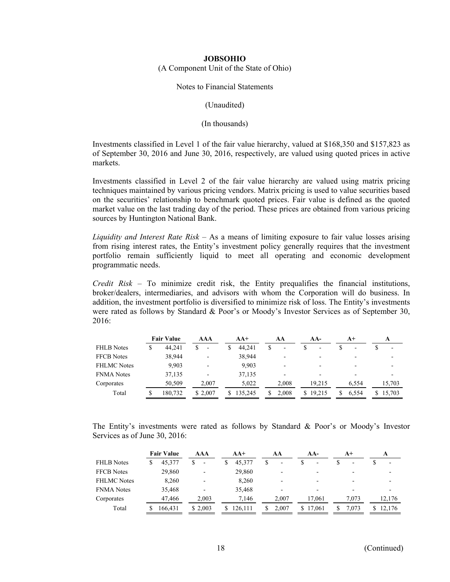(A Component Unit of the State of Ohio)

#### Notes to Financial Statements

(Unaudited)

(In thousands)

Investments classified in Level 1 of the fair value hierarchy, valued at \$168,350 and \$157,823 as of September 30, 2016 and June 30, 2016, respectively, are valued using quoted prices in active markets.

Investments classified in Level 2 of the fair value hierarchy are valued using matrix pricing techniques maintained by various pricing vendors. Matrix pricing is used to value securities based on the securities' relationship to benchmark quoted prices. Fair value is defined as the quoted market value on the last trading day of the period. These prices are obtained from various pricing sources by Huntington National Bank.

*Liquidity and Interest Rate Risk* – As a means of limiting exposure to fair value losses arising from rising interest rates, the Entity's investment policy generally requires that the investment portfolio remain sufficiently liquid to meet all operating and economic development programmatic needs.

*Credit Risk* – To minimize credit risk, the Entity prequalifies the financial institutions, broker/dealers, intermediaries, and advisors with whom the Corporation will do business. In addition, the investment portfolio is diversified to minimize risk of loss. The Entity's investments were rated as follows by Standard & Poor's or Moody's Investor Services as of September 30, 2016:

|                    | <b>Fair Value</b> | AAA                      | $AA+$   |   | AА                       |    | AA-                      | $A+$  |   |        |
|--------------------|-------------------|--------------------------|---------|---|--------------------------|----|--------------------------|-------|---|--------|
| <b>FHLB</b> Notes  | 44.241            | $\overline{\phantom{a}}$ | 44.241  | S | $\overline{\phantom{a}}$ |    | $\overline{\phantom{0}}$ | -     |   |        |
| <b>FFCB</b> Notes  | 38,944            | $\overline{\phantom{0}}$ | 38,944  |   |                          |    |                          |       |   |        |
| <b>FHLMC</b> Notes | 9,903             |                          | 9,903   |   |                          |    |                          |       |   |        |
| <b>FNMA</b> Notes  | 37,135            |                          | 37,135  |   |                          |    | $\overline{\phantom{0}}$ |       |   |        |
| Corporates         | 50.509            | 2.007                    | 5,022   |   | 2.008                    |    | 19.215                   | 6.554 |   | 15.703 |
| Total              | 180,732           | \$ 2,007                 | 135.245 |   | 2.008                    | S. | 19.215                   | 6.554 | S | 15,703 |

The Entity's investments were rated as follows by Standard & Poor's or Moody's Investor Services as of June 30, 2016:

|                    | <b>Fair Value</b> | AAA                      | $AA+$   | AA                       |   | $AA-$  | $A+$                     | A                        |
|--------------------|-------------------|--------------------------|---------|--------------------------|---|--------|--------------------------|--------------------------|
| <b>FHLB</b> Notes  | 45,377            | $\overline{\phantom{a}}$ | 45,377  | \$<br>-                  |   | -      | $\overline{\phantom{a}}$ | $\overline{\phantom{a}}$ |
| <b>FFCB</b> Notes  | 29,860            |                          | 29,860  | $\overline{\phantom{0}}$ |   |        |                          |                          |
| <b>FHLMC</b> Notes | 8,260             |                          | 8,260   | -                        |   |        |                          |                          |
| <b>FNMA</b> Notes  | 35,468            |                          | 35,468  | $\overline{\phantom{0}}$ |   |        |                          |                          |
| Corporates         | 47,466            | 2.003                    | 7.146   | 2.007                    |   | 17.061 | 7.073                    | 12.176                   |
| Total              | 166.431           | \$ 2,003                 | 126.111 | 2.007                    | S | 17,061 | 7.073                    | 12,176                   |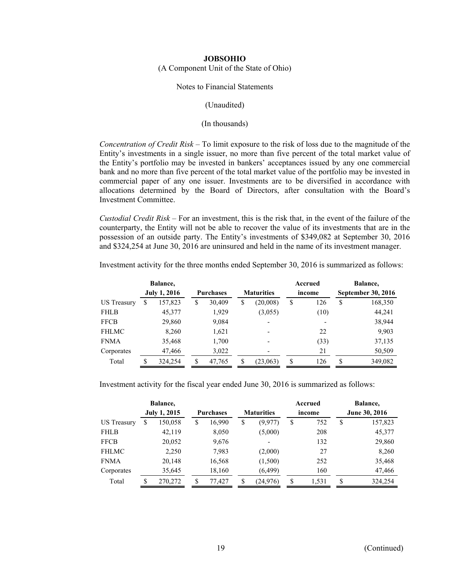(A Component Unit of the State of Ohio)

#### Notes to Financial Statements

#### (Unaudited)

#### (In thousands)

*Concentration of Credit Risk* – To limit exposure to the risk of loss due to the magnitude of the Entity's investments in a single issuer, no more than five percent of the total market value of the Entity's portfolio may be invested in bankers' acceptances issued by any one commercial bank and no more than five percent of the total market value of the portfolio may be invested in commercial paper of any one issuer. Investments are to be diversified in accordance with allocations determined by the Board of Directors, after consultation with the Board's Investment Committee.

*Custodial Credit Risk* – For an investment, this is the risk that, in the event of the failure of the counterparty, the Entity will not be able to recover the value of its investments that are in the possession of an outside party. The Entity's investments of \$349,082 at September 30, 2016 and \$324,254 at June 30, 2016 are uninsured and held in the name of its investment manager.

|              |   | Balance,            |                  |                             |    | Accrued |    | Balance,                  |
|--------------|---|---------------------|------------------|-----------------------------|----|---------|----|---------------------------|
|              |   | <b>July 1, 2016</b> | <b>Purchases</b> | <b>Maturities</b><br>income |    |         |    | <b>September 30, 2016</b> |
| US Treasury  | S | 157,823             | \$<br>30,409     | \$<br>(20,008)              | \$ | 126     | \$ | 168,350                   |
| <b>FHLB</b>  |   | 45,377              | 1,929            | (3,055)                     |    | (10)    |    | 44,241                    |
| <b>FFCB</b>  |   | 29,860              | 9,084            |                             |    |         |    | 38,944                    |
| <b>FHLMC</b> |   | 8,260               | 1,621            |                             |    | 22      |    | 9,903                     |
| <b>FNMA</b>  |   | 35,468              | 1,700            | -                           |    | (33)    |    | 37,135                    |
| Corporates   |   | 47,466              | 3,022            | -                           |    | 21      |    | 50,509                    |
| Total        |   | 324,254             | \$<br>47,765     | (23,063)                    | \$ | 126     | S  | 349,082                   |

Investment activity for the three months ended September 30, 2016 is summarized as follows:

Investment activity for the fiscal year ended June 30, 2016 is summarized as follows:

|              |   | Balance,            |                  |                   |                          |        | Accrued |                      | Balance, |
|--------------|---|---------------------|------------------|-------------------|--------------------------|--------|---------|----------------------|----------|
|              |   | <b>July 1, 2015</b> | <b>Purchases</b> | <b>Maturities</b> |                          | income |         | <b>June 30, 2016</b> |          |
| US Treasury  | S | 150,058             | \$<br>16,990     | \$                | (9, 977)                 | \$     | 752     | S                    | 157,823  |
| <b>FHLB</b>  |   | 42,119              | 8,050            |                   | (5,000)                  |        | 208     |                      | 45,377   |
| <b>FFCB</b>  |   | 20,052              | 9,676            |                   | $\overline{\phantom{a}}$ |        | 132     |                      | 29,860   |
| <b>FHLMC</b> |   | 2,250               | 7,983            |                   | (2,000)                  |        | 27      |                      | 8,260    |
| <b>FNMA</b>  |   | 20,148              | 16,568           |                   | (1,500)                  |        | 252     |                      | 35,468   |
| Corporates   |   | 35,645              | 18,160           |                   | (6, 499)                 |        | 160     |                      | 47,466   |
| Total        | S | 270,272             | \$<br>77,427     | \$                | (24, 976)                | \$     | 1,531   | S                    | 324,254  |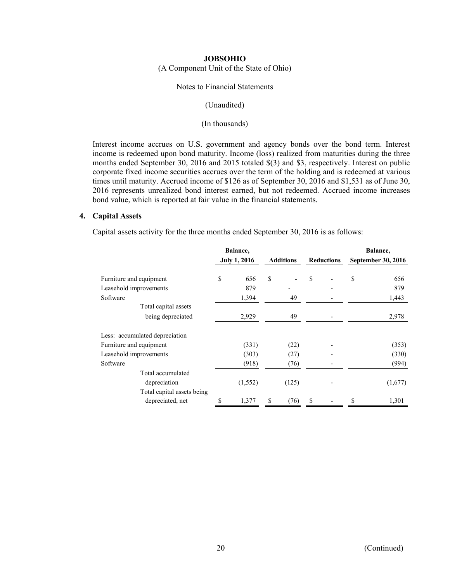(A Component Unit of the State of Ohio)

#### Notes to Financial Statements

#### (Unaudited)

#### (In thousands)

Interest income accrues on U.S. government and agency bonds over the bond term. Interest income is redeemed upon bond maturity. Income (loss) realized from maturities during the three months ended September 30, 2016 and 2015 totaled \$(3) and \$3, respectively. Interest on public corporate fixed income securities accrues over the term of the holding and is redeemed at various times until maturity. Accrued income of \$126 as of September 30, 2016 and \$1,531 as of June 30, 2016 represents unrealized bond interest earned, but not redeemed. Accrued income increases bond value, which is reported at fair value in the financial statements.

#### **4. Capital Assets**

Capital assets activity for the three months ended September 30, 2016 is as follows:

|                                | Balance, |                     |                  |   |                   |    | Balance,           |
|--------------------------------|----------|---------------------|------------------|---|-------------------|----|--------------------|
|                                |          | <b>July 1, 2016</b> | <b>Additions</b> |   | <b>Reductions</b> |    | September 30, 2016 |
| Furniture and equipment        | \$       | 656                 | \$               | S |                   | \$ | 656                |
| Leasehold improvements         |          | 879                 |                  |   |                   |    | 879                |
| Software                       |          | 1,394               | 49               |   |                   |    | 1,443              |
| Total capital assets           |          |                     |                  |   |                   |    |                    |
| being depreciated              |          | 2,929               | 49               |   |                   |    | 2,978              |
| Less: accumulated depreciation |          |                     |                  |   |                   |    |                    |
| Furniture and equipment        |          | (331)               | (22)             |   |                   |    | (353)              |
| Leasehold improvements         |          | (303)               | (27)             |   |                   |    | (330)              |
| Software                       |          | (918)               | (76)             |   |                   |    | (994)              |
| Total accumulated              |          |                     |                  |   |                   |    |                    |
| depreciation                   |          | (1, 552)            | (125)            |   |                   |    | (1,677)            |
| Total capital assets being     |          |                     |                  |   |                   |    |                    |
| depreciated, net               | \$       | 1,377               | \$<br>(76)       | S |                   | S  | 1,301              |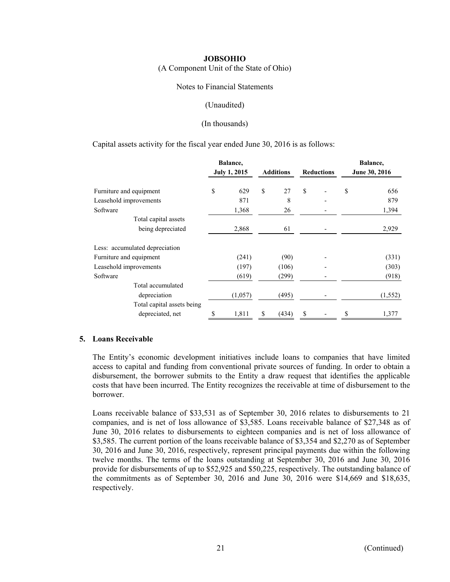(A Component Unit of the State of Ohio)

#### Notes to Financial Statements

#### (Unaudited)

#### (In thousands)

Capital assets activity for the fiscal year ended June 30, 2016 is as follows:

|                                | Balance, |                     |                  |                   | Balance,      |
|--------------------------------|----------|---------------------|------------------|-------------------|---------------|
|                                |          | <b>July 1, 2015</b> | <b>Additions</b> | <b>Reductions</b> | June 30, 2016 |
| Furniture and equipment        | \$       | 629                 | \$<br>27         | \$                | \$<br>656     |
| Leasehold improvements         |          | 871                 | 8                |                   | 879           |
| Software                       |          | 1,368               | 26               |                   | 1,394         |
| Total capital assets           |          |                     |                  |                   |               |
| being depreciated              |          | 2,868               | 61               |                   | 2,929         |
| Less: accumulated depreciation |          |                     |                  |                   |               |
| Furniture and equipment        |          | (241)               | (90)             |                   | (331)         |
| Leasehold improvements         |          | (197)               | (106)            |                   | (303)         |
| Software                       |          | (619)               | (299)            |                   | (918)         |
| Total accumulated              |          |                     |                  |                   |               |
| depreciation                   |          | (1,057)             | (495)            |                   | (1, 552)      |
| Total capital assets being     |          |                     |                  |                   |               |
| depreciated, net               | \$       | 1,811               | \$<br>(434)      | \$                | \$<br>1,377   |

#### **5. Loans Receivable**

The Entity's economic development initiatives include loans to companies that have limited access to capital and funding from conventional private sources of funding. In order to obtain a disbursement, the borrower submits to the Entity a draw request that identifies the applicable costs that have been incurred. The Entity recognizes the receivable at time of disbursement to the borrower.

Loans receivable balance of \$33,531 as of September 30, 2016 relates to disbursements to 21 companies, and is net of loss allowance of \$3,585. Loans receivable balance of \$27,348 as of June 30, 2016 relates to disbursements to eighteen companies and is net of loss allowance of \$3,585. The current portion of the loans receivable balance of \$3,354 and \$2,270 as of September 30, 2016 and June 30, 2016, respectively, represent principal payments due within the following twelve months. The terms of the loans outstanding at September 30, 2016 and June 30, 2016 provide for disbursements of up to \$52,925 and \$50,225, respectively. The outstanding balance of the commitments as of September 30, 2016 and June 30, 2016 were \$14,669 and \$18,635, respectively.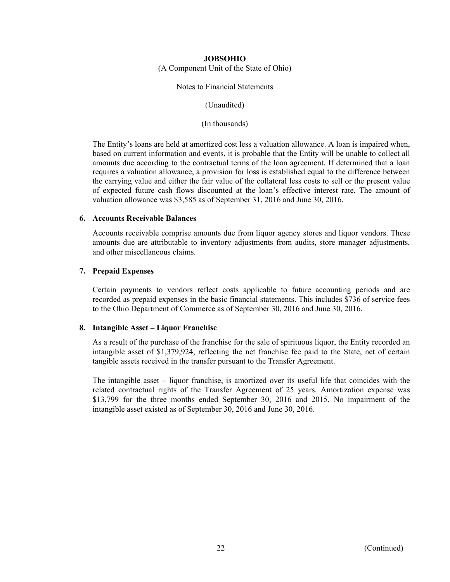#### **JOBSOHIO**  (A Component Unit of the State of Ohio)

Notes to Financial Statements

(Unaudited)

(In thousands)

The Entity's loans are held at amortized cost less a valuation allowance. A loan is impaired when, based on current information and events, it is probable that the Entity will be unable to collect all amounts due according to the contractual terms of the loan agreement. If determined that a loan requires a valuation allowance, a provision for loss is established equal to the difference between the carrying value and either the fair value of the collateral less costs to sell or the present value of expected future cash flows discounted at the loan's effective interest rate. The amount of valuation allowance was \$3,585 as of September 31, 2016 and June 30, 2016.

#### **6. Accounts Receivable Balances**

Accounts receivable comprise amounts due from liquor agency stores and liquor vendors. These amounts due are attributable to inventory adjustments from audits, store manager adjustments, and other miscellaneous claims.

#### **7. Prepaid Expenses**

Certain payments to vendors reflect costs applicable to future accounting periods and are recorded as prepaid expenses in the basic financial statements. This includes \$736 of service fees to the Ohio Department of Commerce as of September 30, 2016 and June 30, 2016.

#### **8. Intangible Asset – Liquor Franchise**

As a result of the purchase of the franchise for the sale of spirituous liquor, the Entity recorded an intangible asset of \$1,379,924, reflecting the net franchise fee paid to the State, net of certain tangible assets received in the transfer pursuant to the Transfer Agreement.

The intangible asset – liquor franchise, is amortized over its useful life that coincides with the related contractual rights of the Transfer Agreement of 25 years. Amortization expense was \$13,799 for the three months ended September 30, 2016 and 2015. No impairment of the intangible asset existed as of September 30, 2016 and June 30, 2016.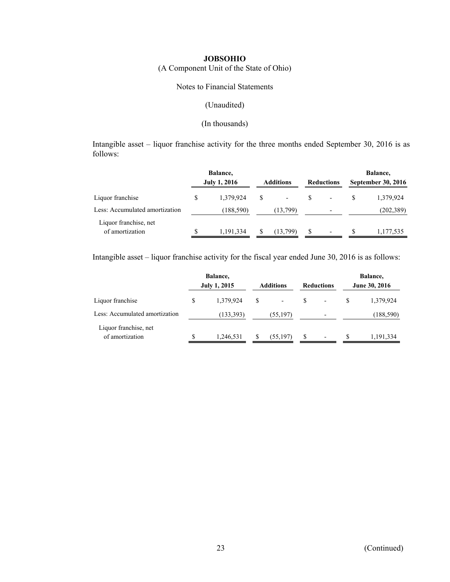(A Component Unit of the State of Ohio)

#### Notes to Financial Statements

#### (Unaudited)

#### (In thousands)

Intangible asset – liquor franchise activity for the three months ended September 30, 2016 is as follows:

|                                          |   | Balance,            |              |                          |                   |                          |                           | Balance,   |
|------------------------------------------|---|---------------------|--------------|--------------------------|-------------------|--------------------------|---------------------------|------------|
|                                          |   | <b>July 1, 2016</b> |              | <b>Additions</b>         | <b>Reductions</b> |                          | <b>September 30, 2016</b> |            |
| Liquor franchise                         | S | 1,379,924           | <sup>S</sup> | $\overline{\phantom{a}}$ | -S                | $\overline{\phantom{a}}$ |                           | 1,379,924  |
| Less: Accumulated amortization           |   | (188, 590)          |              | (13,799)                 |                   | $\overline{\phantom{a}}$ |                           | (202, 389) |
| Liquor franchise, net<br>of amortization |   | 1,191,334           |              | (13,799)                 | S                 | $\overline{\phantom{a}}$ |                           | 1,177,535  |

Intangible asset – liquor franchise activity for the fiscal year ended June 30, 2016 is as follows:

|                                          |    | Balance,<br><b>July 1, 2015</b> | <b>Additions</b>               |   | <b>Reductions</b>        |    | Balance,<br>June 30, 2016 |
|------------------------------------------|----|---------------------------------|--------------------------------|---|--------------------------|----|---------------------------|
| Liquor franchise                         | \$ | 1,379,924                       | \$<br>$\overline{\phantom{a}}$ | S | $\overline{\phantom{a}}$ | S  | 1,379,924                 |
| Less: Accumulated amortization           |    | (133, 393)                      | (55, 197)                      |   | $\overline{\phantom{a}}$ |    | (188, 590)                |
| Liquor franchise, net<br>of amortization | S  | 1,246,531                       | (55,197)                       | S | $\overline{\phantom{a}}$ | S. | 1,191,334                 |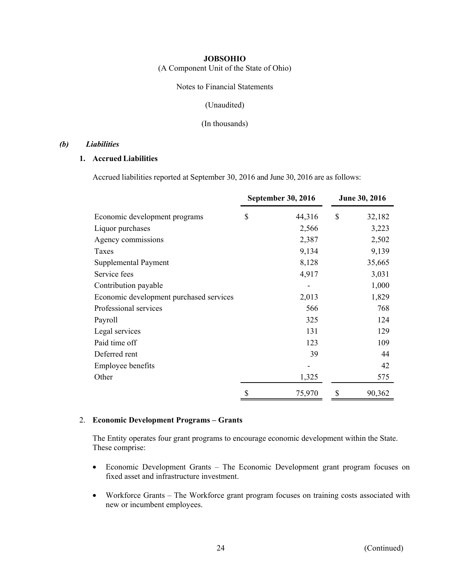(A Component Unit of the State of Ohio)

Notes to Financial Statements

(Unaudited)

(In thousands)

#### *(b) Liabilities*

# **1. Accrued Liabilities**

Accrued liabilities reported at September 30, 2016 and June 30, 2016 are as follows:

|                                         | <b>September 30, 2016</b> | June 30, 2016 |
|-----------------------------------------|---------------------------|---------------|
| Economic development programs           | \$<br>44,316              | \$<br>32,182  |
| Liquor purchases                        | 2,566                     | 3,223         |
| Agency commissions                      | 2,387                     | 2,502         |
| Taxes                                   | 9,134                     | 9,139         |
| Supplemental Payment                    | 8,128                     | 35,665        |
| Service fees                            | 4,917                     | 3,031         |
| Contribution payable                    |                           | 1,000         |
| Economic development purchased services | 2,013                     | 1,829         |
| Professional services                   | 566                       | 768           |
| Payroll                                 | 325                       | 124           |
| Legal services                          | 131                       | 129           |
| Paid time off                           | 123                       | 109           |
| Deferred rent                           | 39                        | 44            |
| Employee benefits                       |                           | 42            |
| Other                                   | 1,325                     | 575           |
|                                         | \$<br>75,970              | \$<br>90,362  |

#### 2. **Economic Development Programs – Grants**

The Entity operates four grant programs to encourage economic development within the State. These comprise:

- Economic Development Grants The Economic Development grant program focuses on fixed asset and infrastructure investment.
- Workforce Grants The Workforce grant program focuses on training costs associated with new or incumbent employees.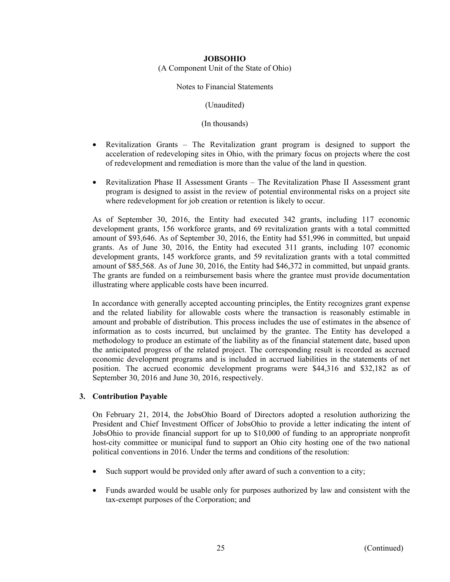(A Component Unit of the State of Ohio)

Notes to Financial Statements

(Unaudited)

(In thousands)

- Revitalization Grants The Revitalization grant program is designed to support the acceleration of redeveloping sites in Ohio, with the primary focus on projects where the cost of redevelopment and remediation is more than the value of the land in question.
- Revitalization Phase II Assessment Grants The Revitalization Phase II Assessment grant program is designed to assist in the review of potential environmental risks on a project site where redevelopment for job creation or retention is likely to occur.

As of September 30, 2016, the Entity had executed 342 grants, including 117 economic development grants, 156 workforce grants, and 69 revitalization grants with a total committed amount of \$93,646. As of September 30, 2016, the Entity had \$51,996 in committed, but unpaid grants. As of June 30, 2016, the Entity had executed 311 grants, including 107 economic development grants, 145 workforce grants, and 59 revitalization grants with a total committed amount of \$85,568. As of June 30, 2016, the Entity had \$46,372 in committed, but unpaid grants. The grants are funded on a reimbursement basis where the grantee must provide documentation illustrating where applicable costs have been incurred.

In accordance with generally accepted accounting principles, the Entity recognizes grant expense and the related liability for allowable costs where the transaction is reasonably estimable in amount and probable of distribution. This process includes the use of estimates in the absence of information as to costs incurred, but unclaimed by the grantee. The Entity has developed a methodology to produce an estimate of the liability as of the financial statement date, based upon the anticipated progress of the related project. The corresponding result is recorded as accrued economic development programs and is included in accrued liabilities in the statements of net position. The accrued economic development programs were \$44,316 and \$32,182 as of September 30, 2016 and June 30, 2016, respectively.

#### **3. Contribution Payable**

On February 21, 2014, the JobsOhio Board of Directors adopted a resolution authorizing the President and Chief Investment Officer of JobsOhio to provide a letter indicating the intent of JobsOhio to provide financial support for up to \$10,000 of funding to an appropriate nonprofit host-city committee or municipal fund to support an Ohio city hosting one of the two national political conventions in 2016. Under the terms and conditions of the resolution:

- Such support would be provided only after award of such a convention to a city;
- Funds awarded would be usable only for purposes authorized by law and consistent with the tax-exempt purposes of the Corporation; and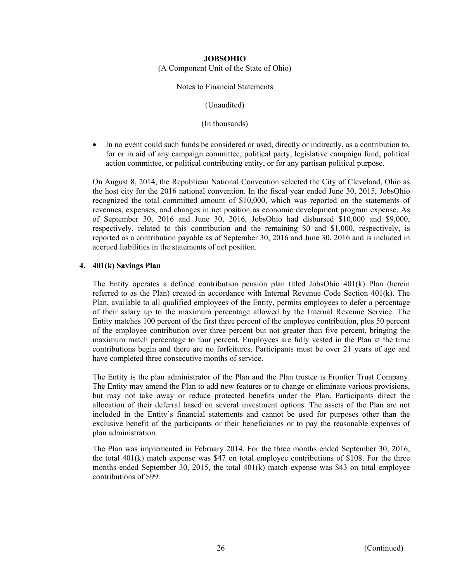## **JOBSOHIO**  (A Component Unit of the State of Ohio)

Notes to Financial Statements

(Unaudited)

(In thousands)

• In no event could such funds be considered or used, directly or indirectly, as a contribution to, for or in aid of any campaign committee, political party, legislative campaign fund, political action committee, or political contributing entity, or for any partisan political purpose.

On August 8, 2014, the Republican National Convention selected the City of Cleveland, Ohio as the host city for the 2016 national convention. In the fiscal year ended June 30, 2015, JobsOhio recognized the total committed amount of \$10,000, which was reported on the statements of revenues, expenses, and changes in net position as economic development program expense. As of September 30, 2016 and June 30, 2016, JobsOhio had disbursed \$10,000 and \$9,000, respectively, related to this contribution and the remaining \$0 and \$1,000, respectively, is reported as a contribution payable as of September 30, 2016 and June 30, 2016 and is included in accrued liabilities in the statements of net position.

#### **4. 401(k) Savings Plan**

The Entity operates a defined contribution pension plan titled JobsOhio 401(k) Plan (herein referred to as the Plan) created in accordance with Internal Revenue Code Section 401(k). The Plan, available to all qualified employees of the Entity, permits employees to defer a percentage of their salary up to the maximum percentage allowed by the Internal Revenue Service. The Entity matches 100 percent of the first three percent of the employee contribution, plus 50 percent of the employee contribution over three percent but not greater than five percent, bringing the maximum match percentage to four percent. Employees are fully vested in the Plan at the time contributions begin and there are no forfeitures. Participants must be over 21 years of age and have completed three consecutive months of service.

The Entity is the plan administrator of the Plan and the Plan trustee is Frontier Trust Company. The Entity may amend the Plan to add new features or to change or eliminate various provisions, but may not take away or reduce protected benefits under the Plan. Participants direct the allocation of their deferral based on several investment options. The assets of the Plan are not included in the Entity's financial statements and cannot be used for purposes other than the exclusive benefit of the participants or their beneficiaries or to pay the reasonable expenses of plan administration.

The Plan was implemented in February 2014. For the three months ended September 30, 2016, the total 401(k) match expense was \$47 on total employee contributions of \$108. For the three months ended September 30, 2015, the total 401(k) match expense was \$43 on total employee contributions of \$99.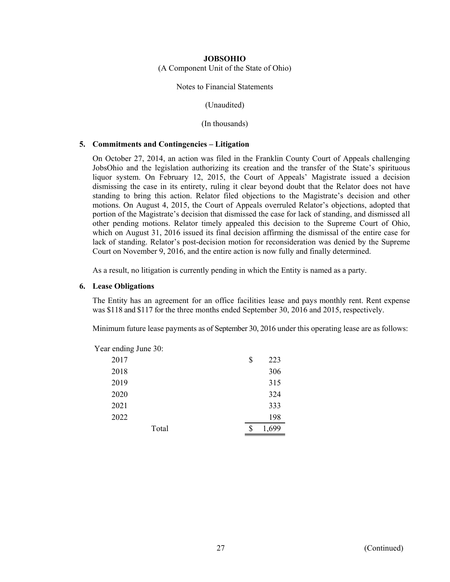(A Component Unit of the State of Ohio)

Notes to Financial Statements

(Unaudited)

(In thousands)

#### **5. Commitments and Contingencies – Litigation**

On October 27, 2014, an action was filed in the Franklin County Court of Appeals challenging JobsOhio and the legislation authorizing its creation and the transfer of the State's spirituous liquor system. On February 12, 2015, the Court of Appeals' Magistrate issued a decision dismissing the case in its entirety, ruling it clear beyond doubt that the Relator does not have standing to bring this action. Relator filed objections to the Magistrate's decision and other motions. On August 4, 2015, the Court of Appeals overruled Relator's objections, adopted that portion of the Magistrate's decision that dismissed the case for lack of standing, and dismissed all other pending motions. Relator timely appealed this decision to the Supreme Court of Ohio, which on August 31, 2016 issued its final decision affirming the dismissal of the entire case for lack of standing. Relator's post-decision motion for reconsideration was denied by the Supreme Court on November 9, 2016, and the entire action is now fully and finally determined.

As a result, no litigation is currently pending in which the Entity is named as a party.

#### **6. Lease Obligations**

The Entity has an agreement for an office facilities lease and pays monthly rent. Rent expense was \$118 and \$117 for the three months ended September 30, 2016 and 2015, respectively.

Minimum future lease payments as of September 30, 2016 under this operating lease are as follows:

Year ending June 30:

| 2017 |       | \$ | 223   |
|------|-------|----|-------|
| 2018 |       |    | 306   |
| 2019 |       |    | 315   |
| 2020 |       |    | 324   |
| 2021 |       |    | 333   |
| 2022 |       |    | 198   |
|      | Total | \$ | 1,699 |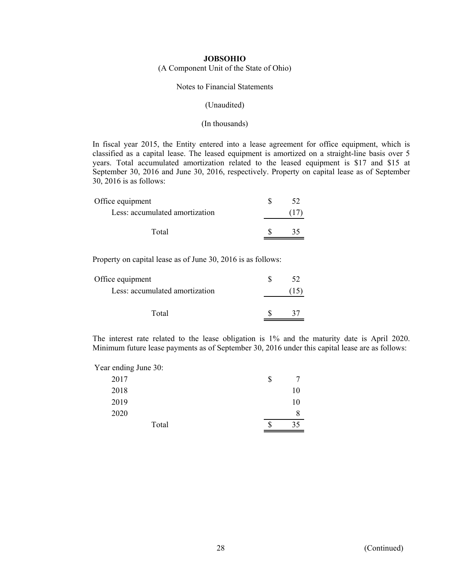(A Component Unit of the State of Ohio)

#### Notes to Financial Statements

#### (Unaudited)

#### (In thousands)

In fiscal year 2015, the Entity entered into a lease agreement for office equipment, which is classified as a capital lease. The leased equipment is amortized on a straight-line basis over 5 years. Total accumulated amortization related to the leased equipment is \$17 and \$15 at September 30, 2016 and June 30, 2016, respectively. Property on capital lease as of September 30, 2016 is as follows:

| Office equipment               |  |
|--------------------------------|--|
| Less: accumulated amortization |  |
| Total                          |  |
|                                |  |

Property on capital lease as of June 30, 2016 is as follows:

| Office equipment               |  |
|--------------------------------|--|
| Less: accumulated amortization |  |
| Total                          |  |
|                                |  |

The interest rate related to the lease obligation is 1% and the maturity date is April 2020. Minimum future lease payments as of September 30, 2016 under this capital lease are as follows:

Year ending June 30:

| 2017  | \$ |    |
|-------|----|----|
| 2018  |    | 10 |
| 2019  |    | 10 |
| 2020  |    | 8  |
| Total | S  | 35 |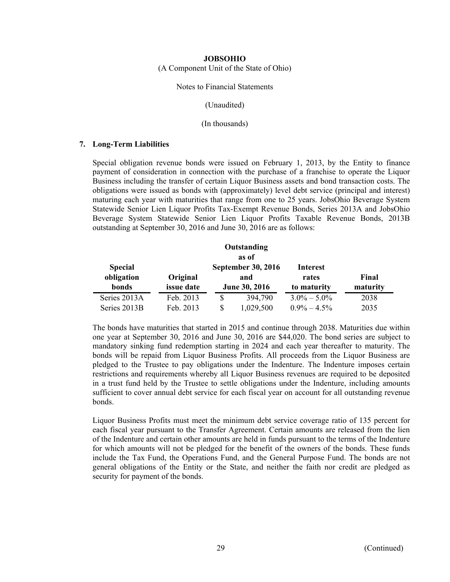(A Component Unit of the State of Ohio)

#### Notes to Financial Statements

(Unaudited)

(In thousands)

#### **7. Long-Term Liabilities**

Special obligation revenue bonds were issued on February 1, 2013, by the Entity to finance payment of consideration in connection with the purchase of a franchise to operate the Liquor Business including the transfer of certain Liquor Business assets and bond transaction costs. The obligations were issued as bonds with (approximately) level debt service (principal and interest) maturing each year with maturities that range from one to 25 years. JobsOhio Beverage System Statewide Senior Lien Liquor Profits Tax-Exempt Revenue Bonds, Series 2013A and JobsOhio Beverage System Statewide Senior Lien Liquor Profits Taxable Revenue Bonds, 2013B outstanding at September 30, 2016 and June 30, 2016 are as follows:

|                |                   | Outstanding               |                 |          |
|----------------|-------------------|---------------------------|-----------------|----------|
|                |                   | as of                     |                 |          |
| <b>Special</b> |                   | <b>September 30, 2016</b> | Interest        |          |
| obligation     | Original          | and                       | rates           | Final    |
| bonds          | <i>issue</i> date | <b>June 30, 2016</b>      | to maturity     | maturity |
| Series 2013A   | Feb. 2013         | \$<br>394,790             | $3.0\% - 5.0\%$ | 2038     |
| Series 2013B   | Feb. 2013         | \$<br>1,029,500           | $0.9\% - 4.5\%$ | 2035     |

The bonds have maturities that started in 2015 and continue through 2038. Maturities due within one year at September 30, 2016 and June 30, 2016 are \$44,020. The bond series are subject to mandatory sinking fund redemption starting in 2024 and each year thereafter to maturity. The bonds will be repaid from Liquor Business Profits. All proceeds from the Liquor Business are pledged to the Trustee to pay obligations under the Indenture. The Indenture imposes certain restrictions and requirements whereby all Liquor Business revenues are required to be deposited in a trust fund held by the Trustee to settle obligations under the Indenture, including amounts sufficient to cover annual debt service for each fiscal year on account for all outstanding revenue bonds.

Liquor Business Profits must meet the minimum debt service coverage ratio of 135 percent for each fiscal year pursuant to the Transfer Agreement. Certain amounts are released from the lien of the Indenture and certain other amounts are held in funds pursuant to the terms of the Indenture for which amounts will not be pledged for the benefit of the owners of the bonds. These funds include the Tax Fund, the Operations Fund, and the General Purpose Fund. The bonds are not general obligations of the Entity or the State, and neither the faith nor credit are pledged as security for payment of the bonds.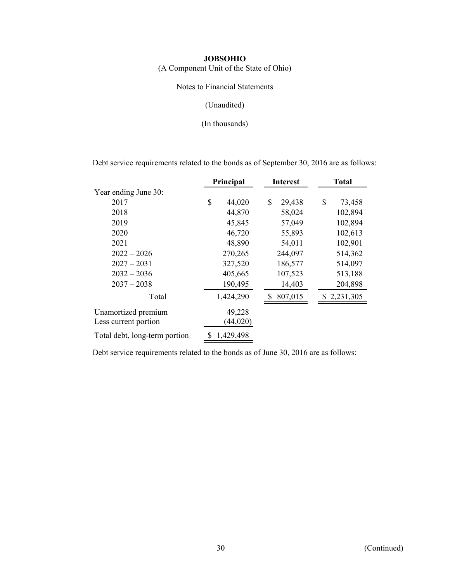(A Component Unit of the State of Ohio)

Notes to Financial Statements

(Unaudited)

(In thousands)

Debt service requirements related to the bonds as of September 30, 2016 are as follows:

|                               | Principal       | <b>Interest</b> | <b>Total</b> |  |  |
|-------------------------------|-----------------|-----------------|--------------|--|--|
| Year ending June 30:          |                 |                 |              |  |  |
| 2017                          | \$<br>44,020    | \$<br>29,438    | \$<br>73,458 |  |  |
| 2018                          | 44,870          | 58,024          | 102,894      |  |  |
| 2019                          | 45,845          | 57,049          | 102,894      |  |  |
| 2020                          | 46,720          | 55,893          | 102,613      |  |  |
| 2021                          | 48,890          | 54,011          | 102,901      |  |  |
| $2022 - 2026$                 | 270,265         | 244,097         | 514,362      |  |  |
| $2027 - 2031$                 | 327,520         | 186,577         | 514,097      |  |  |
| $2032 - 2036$                 | 405,665         | 107,523         | 513,188      |  |  |
| $2037 - 2038$                 | 190,495         | 14,403          | 204,898      |  |  |
| Total                         | 1,424,290       | 807,015         | \$2,231,305  |  |  |
| Unamortized premium           | 49,228          |                 |              |  |  |
| Less current portion          | (44, 020)       |                 |              |  |  |
| Total debt, long-term portion | \$<br>1,429,498 |                 |              |  |  |

Debt service requirements related to the bonds as of June 30, 2016 are as follows: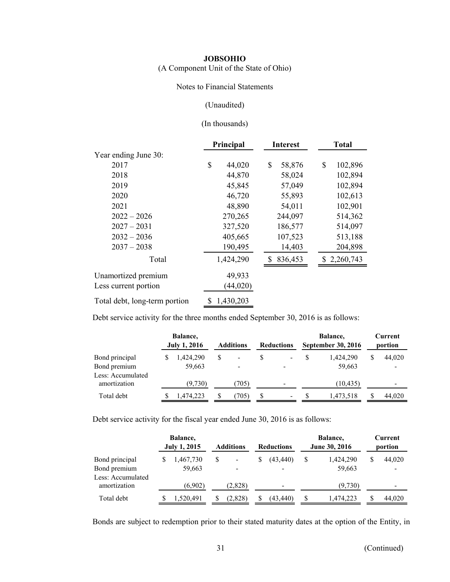(A Component Unit of the State of Ohio)

#### Notes to Financial Statements

#### (Unaudited)

#### (In thousands)

|                               | Principal |           | <b>Interest</b> | <b>Total</b> |             |  |  |
|-------------------------------|-----------|-----------|-----------------|--------------|-------------|--|--|
| Year ending June 30:          |           |           |                 |              |             |  |  |
| 2017                          | \$        | 44,020    | \$<br>58,876    | \$           | 102,896     |  |  |
| 2018                          |           | 44,870    | 58,024          |              | 102,894     |  |  |
| 2019                          |           | 45,845    | 57,049          |              | 102,894     |  |  |
| 2020                          |           | 46,720    | 55,893          |              | 102,613     |  |  |
| 2021                          |           | 48,890    | 54,011          |              | 102,901     |  |  |
| $2022 - 2026$                 |           | 270,265   | 244,097         |              | 514,362     |  |  |
| $2027 - 2031$                 |           | 327,520   | 186,577         |              | 514,097     |  |  |
| $2032 - 2036$                 |           | 405,665   | 107,523         |              | 513,188     |  |  |
| $2037 - 2038$                 |           | 190,495   | 14,403          |              | 204,898     |  |  |
| Total                         |           | 1,424,290 | 836,453         |              | \$2,260,743 |  |  |
| Unamortized premium           |           | 49,933    |                 |              |             |  |  |
| Less current portion          |           | (44, 020) |                 |              |             |  |  |
| Total debt, long-term portion | S         | 1,430,203 |                 |              |             |  |  |

Debt service activity for the three months ended September 30, 2016 is as follows:

|                                   | Balance,<br><b>July 1, 2016</b> |   | <b>Additions</b>         |   | <b>Reductions</b>        | Balance,<br>September 30, 2016 |   | Current<br>portion |
|-----------------------------------|---------------------------------|---|--------------------------|---|--------------------------|--------------------------------|---|--------------------|
| Bond principal                    | 1.424.290                       | S | $\overline{\phantom{0}}$ | S | $\overline{\phantom{a}}$ | 1.424.290                      | S | 44,020             |
| Bond premium                      | 59,663                          |   | $\overline{\phantom{a}}$ |   |                          | 59,663                         |   |                    |
| Less: Accumulated<br>amortization | (9,730)                         |   | (705)                    |   | -                        | (10, 435)                      |   |                    |
| Total debt                        | 1,474,223                       |   | (705)                    | S | -                        | 1,473,518                      |   | 44,020             |

Debt service activity for the fiscal year ended June 30, 2016 is as follows:

|                                                     | Balance,<br><b>July 1, 2015</b> | <b>Additions</b> | <b>Reductions</b> |   | Balance,<br>June 30, 2016 | Current<br>portion |
|-----------------------------------------------------|---------------------------------|------------------|-------------------|---|---------------------------|--------------------|
| Bond principal<br>Bond premium<br>Less: Accumulated | 1,467,730<br>59,663             |                  | (43, 440)         | S | 1,424,290<br>59,663       | \$<br>44,020       |
| amortization                                        | (6.902)                         | (2,828)          |                   |   | (9,730)                   |                    |
| Total debt                                          | 1.520.491                       | (2,828)          | (43.440)          | S | 1.474.223                 | 44,020             |

Bonds are subject to redemption prior to their stated maturity dates at the option of the Entity, in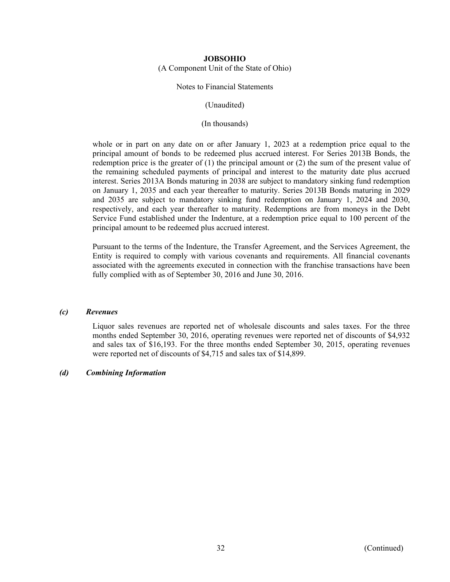#### **JOBSOHIO**  (A Component Unit of the State of Ohio)

#### Notes to Financial Statements

(Unaudited)

(In thousands)

whole or in part on any date on or after January 1, 2023 at a redemption price equal to the principal amount of bonds to be redeemed plus accrued interest. For Series 2013B Bonds, the redemption price is the greater of (1) the principal amount or (2) the sum of the present value of the remaining scheduled payments of principal and interest to the maturity date plus accrued interest. Series 2013A Bonds maturing in 2038 are subject to mandatory sinking fund redemption on January 1, 2035 and each year thereafter to maturity. Series 2013B Bonds maturing in 2029 and 2035 are subject to mandatory sinking fund redemption on January 1, 2024 and 2030, respectively, and each year thereafter to maturity. Redemptions are from moneys in the Debt Service Fund established under the Indenture, at a redemption price equal to 100 percent of the principal amount to be redeemed plus accrued interest.

Pursuant to the terms of the Indenture, the Transfer Agreement, and the Services Agreement, the Entity is required to comply with various covenants and requirements. All financial covenants associated with the agreements executed in connection with the franchise transactions have been fully complied with as of September 30, 2016 and June 30, 2016.

#### *(c) Revenues*

Liquor sales revenues are reported net of wholesale discounts and sales taxes. For the three months ended September 30, 2016, operating revenues were reported net of discounts of \$4,932 and sales tax of \$16,193. For the three months ended September 30, 2015, operating revenues were reported net of discounts of \$4,715 and sales tax of \$14,899.

#### *(d) Combining Information*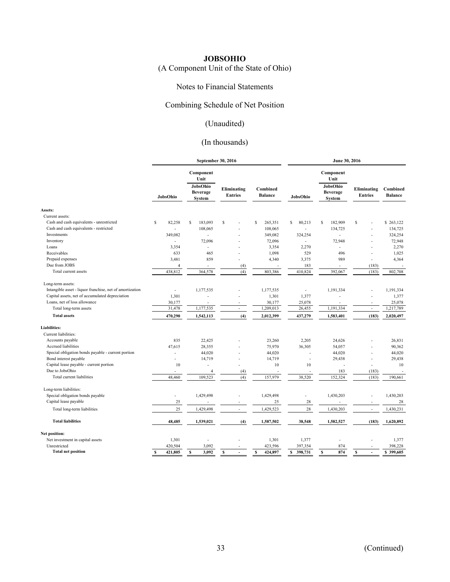# (A Component Unit of the State of Ohio)

#### Notes to Financial Statements

#### Combining Schedule of Net Position

# (Unaudited)

# (In thousands)

|                                                          |                          | September 30, 2016                                         |                               | June 30, 2016              |                |                                                                   |                               |                            |  |  |
|----------------------------------------------------------|--------------------------|------------------------------------------------------------|-------------------------------|----------------------------|----------------|-------------------------------------------------------------------|-------------------------------|----------------------------|--|--|
|                                                          | JobsOhio                 | Component<br>Unit<br>JobsOhio<br><b>Beverage</b><br>System | Eliminating<br><b>Entries</b> | Combined<br><b>Balance</b> | JobsOhio       | Component<br>Unit<br>JobsOhio<br><b>Beverage</b><br><b>System</b> | Eliminating<br><b>Entries</b> | Combined<br><b>Balance</b> |  |  |
| Assets:                                                  |                          |                                                            |                               |                            |                |                                                                   |                               |                            |  |  |
| Current assets:                                          |                          |                                                            |                               |                            |                |                                                                   |                               |                            |  |  |
| Cash and cash equivalents - unrestricted                 | S<br>82,258              | S<br>183,093                                               | S                             | S<br>265,351               | 80,213<br>S    | S<br>182,909                                                      | \$                            | \$263,122                  |  |  |
| Cash and cash equivalents - restricted                   |                          | 108,065                                                    |                               | 108,065                    | $\overline{a}$ | 134,725                                                           |                               | 134,725                    |  |  |
| Investments                                              | 349,082                  |                                                            |                               | 349,082                    | 324,254        | $\sim$                                                            |                               | 324,254                    |  |  |
| Inventory                                                |                          | 72,096                                                     |                               | 72,096                     | $\overline{a}$ | 72,948                                                            |                               | 72,948                     |  |  |
| Loans                                                    | 3,354                    | $\overline{a}$                                             |                               | 3,354                      | 2,270          | $\overline{a}$                                                    |                               | 2,270                      |  |  |
| Receivables                                              | 633                      | 465                                                        |                               | 1,098                      | 529            | 496                                                               |                               | 1,025                      |  |  |
| Prepaid expenses                                         | 3,481                    | 859                                                        |                               | 4,340                      | 3,375          | 989                                                               | $\overline{a}$                | 4,364                      |  |  |
| Due from JOBS                                            | $\overline{4}$           |                                                            | (4)                           |                            | 183            |                                                                   | (183)                         |                            |  |  |
| Total current assets                                     | 438,812                  | 364,578                                                    | (4)                           | 803,386                    | 410,824        | 392,067                                                           | (183)                         | 802,708                    |  |  |
| Long-term assets:                                        |                          |                                                            |                               |                            |                |                                                                   |                               |                            |  |  |
| Intangible asset - liquor franchise, net of amortization | $\overline{\phantom{a}}$ | 1,177,535                                                  |                               | 1,177,535                  | ÷              | 1,191,334                                                         | ÷                             | 1,191,334                  |  |  |
| Capital assets, net of accumulated depreciation          | 1,301                    |                                                            |                               | 1,301                      | 1,377          |                                                                   |                               | 1,377                      |  |  |
| Loans, net of loss allowance                             | 30,177                   | ÷,                                                         |                               | 30,177                     | 25,078         | $\overline{\phantom{a}}$                                          | $\overline{a}$                | 25,078                     |  |  |
| Total long-term assets                                   | 31,478                   | 1,177,535                                                  | $\overline{a}$                | 1,209,013                  | 26,455         | 1,191,334                                                         | $\overline{a}$                | 1,217,789                  |  |  |
| <b>Total assets</b>                                      | 470,290                  | 1,542,113                                                  | (4)                           | 2,012,399                  | 437,279        | 1,583,401                                                         | (183)                         | 2,020,497                  |  |  |
| <b>Liabilities:</b>                                      |                          |                                                            |                               |                            |                |                                                                   |                               |                            |  |  |
| Current liabilities:                                     |                          |                                                            |                               |                            |                |                                                                   |                               |                            |  |  |
| Accounts payable                                         | 835                      | 22,425                                                     |                               | 23,260                     | 2,205          | 24,626                                                            |                               | 26,831                     |  |  |
| Accrued liabilities                                      |                          |                                                            |                               |                            |                |                                                                   |                               |                            |  |  |
|                                                          | 47,615                   | 28,355                                                     |                               | 75,970                     | 36,305         | 54,057                                                            |                               | 90,362                     |  |  |
| Special obligation bonds payable - current portion       | ÷.                       | 44,020                                                     |                               | 44,020                     |                | 44,020                                                            |                               | 44,020                     |  |  |
| Bond interest payable                                    | $\overline{a}$           | 14,719                                                     |                               | 14,719                     | $\sim$         | 29,438                                                            | $\overline{a}$                | 29,438                     |  |  |
| Capital lease payable - current portion                  | 10                       | L                                                          |                               | 10                         | 10             | ÷,                                                                | $\overline{a}$                | 10                         |  |  |
| Due to JobsOhio<br>Total current liabilities             | 48,460                   | 4<br>109,523                                               | (4)<br>(4)                    | 157,979                    | 38,520         | 183<br>152,324                                                    | (183)<br>(183)                | 190,661                    |  |  |
| Long-term liabilities:                                   |                          |                                                            |                               |                            |                |                                                                   |                               |                            |  |  |
|                                                          |                          |                                                            |                               |                            |                |                                                                   |                               |                            |  |  |
| Special obligation bonds payable                         | $\overline{a}$           | 1,429,498                                                  |                               | 1,429,498                  | ÷,             | 1,430,203                                                         |                               | 1,430,203                  |  |  |
| Capital lease payable                                    | 25                       |                                                            |                               | 25                         | 28             | Ĭ.                                                                |                               | 28                         |  |  |
| Total long-term liabilities                              | 25                       | 1,429,498                                                  |                               | 1,429,523                  | 28             | 1,430,203                                                         | $\overline{a}$                | 1,430,231                  |  |  |
| <b>Total liabilities</b>                                 | 48,485                   | 1,539,021                                                  | (4)                           | 1,587,502                  | 38,548         | 1,582,527                                                         | (183)                         | 1,620,892                  |  |  |
| Net position:                                            |                          |                                                            |                               |                            |                |                                                                   |                               |                            |  |  |
| Net investment in capital assets                         | 1,301                    |                                                            |                               | 1,301                      | 1,377          |                                                                   |                               | 1,377                      |  |  |
| Unrestricted                                             | 420,504                  | 3,092                                                      |                               | 423,596                    | 397,354        | 874                                                               |                               | 398,228                    |  |  |
| <b>Total net position</b>                                | $\mathbf{s}$<br>421,805  | S<br>3,092                                                 | $\mathbf{s}$                  | $\mathbf{s}$<br>424,897    | 398,731<br>s   | 874<br>s                                                          | $\mathbf{s}$                  | \$399,605                  |  |  |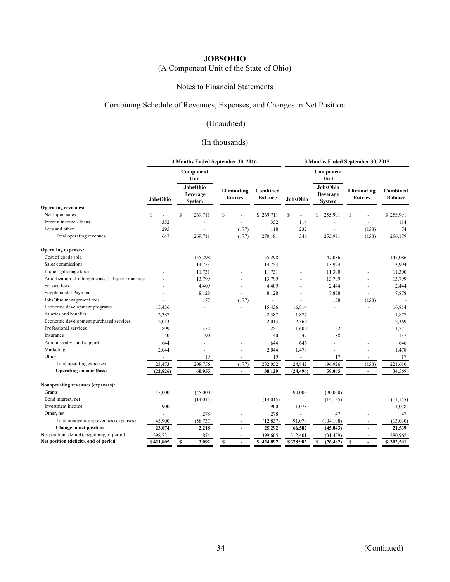# (A Component Unit of the State of Ohio)

#### Notes to Financial Statements

#### Combining Schedule of Revenues, Expenses, and Changes in Net Position

# (Unaudited)

# (In thousands)

|                                                     |                | 3 Months Ended September 30, 2016            |                               | 3 Months Ended September 30, 2015 |                          |                                              |                               |                            |  |
|-----------------------------------------------------|----------------|----------------------------------------------|-------------------------------|-----------------------------------|--------------------------|----------------------------------------------|-------------------------------|----------------------------|--|
|                                                     |                | Component<br>Unit                            |                               |                                   |                          | Component<br>Unit                            |                               |                            |  |
|                                                     | JobsOhio       | JobsOhio<br><b>Beverage</b><br><b>System</b> | Eliminating<br><b>Entries</b> | Combined<br><b>Balance</b>        | JobsOhio                 | JobsOhio<br><b>Beverage</b><br><b>System</b> | Eliminating<br><b>Entries</b> | Combined<br><b>Balance</b> |  |
| <b>Operating revenues:</b>                          |                |                                              |                               |                                   |                          |                                              |                               |                            |  |
| Net liquor sales                                    | S              | \$<br>269,711                                | \$                            | \$269,711                         | \$                       | \$<br>255,991                                | \$                            | \$255,991                  |  |
| Interest income - loans                             | 352            |                                              |                               | 352                               | 114                      |                                              |                               | 114                        |  |
| Fees and other                                      | 295            |                                              | (177)                         | 118                               | 232                      |                                              | (158)                         | 74                         |  |
| Total operating revenues                            | 647            | 269,711                                      | (177)                         | 270,181                           | 346                      | 255,991                                      | (158)                         | 256,179                    |  |
| <b>Operating expenses:</b>                          |                |                                              |                               |                                   |                          |                                              |                               |                            |  |
| Cost of goods sold                                  |                | 155,298                                      |                               | 155,298                           |                          | 147,086                                      |                               | 147,086                    |  |
| Sales commissions                                   |                | 14,753                                       |                               | 14,753                            | ä,                       | 13,994                                       |                               | 13,994                     |  |
| Liquor gallonage taxes                              |                | 11,731                                       | $\ddot{\phantom{1}}$          | 11,731                            | ä,                       | 11,300                                       |                               | 11,300                     |  |
| Amortization of intangible asset - liquor franchise |                | 13,799                                       |                               | 13,799                            |                          | 13,799                                       |                               | 13,799                     |  |
| Service fees                                        |                | 4,409                                        |                               | 4,409                             |                          | 2,444                                        |                               | 2,444                      |  |
| Supplemental Payment                                |                | 8,128                                        |                               | 8,128                             |                          | 7,878                                        |                               | 7,878                      |  |
| JobsOhio management fees                            | L.             | 177                                          | (177)                         | $\mathbf{r}$                      | ٠                        | 158                                          | (158)                         |                            |  |
| Economic development programs                       | 15,436         |                                              |                               | 15,436                            | 16,814                   |                                              |                               | 16,814                     |  |
| Salaries and benefits                               | 2,387          | ÷,                                           |                               | 2,387                             | 1,877                    | ٠                                            |                               | 1,877                      |  |
| Economic development purchased services             | 2,013          |                                              |                               | 2,013                             | 2,369                    | ÷,                                           |                               | 2,369                      |  |
| Professional services                               | 899            | 352                                          |                               | 1,251                             | 1,609                    | 162                                          |                               | 1,771                      |  |
| Insurance                                           | 50             | 90                                           |                               | 140                               | 49                       | 88                                           |                               | 137                        |  |
| Administrative and support                          | 644            |                                              |                               | 644                               | 646                      |                                              |                               | 646                        |  |
| Marketing                                           | 2,044          |                                              |                               | 2,044                             | 1,478                    |                                              |                               | 1,478                      |  |
| Other                                               | $\overline{a}$ | 19                                           | $\overline{\phantom{a}}$      | 19                                | $\overline{\phantom{a}}$ | 17                                           | $\overline{\phantom{a}}$      | 17                         |  |
| Total operating expenses                            | 23,473         | 208,756                                      | (177)                         | 232,052                           | 24,842                   | 196,926                                      | (158)                         | 221,610                    |  |
| <b>Operating income (loss)</b>                      | (22, 826)      | 60,955                                       | $\sim$                        | 38,129                            | (24, 496)                | 59,065                                       | $\blacksquare$                | 34,569                     |  |
| Nonoperating revenues (expenses):                   |                |                                              |                               |                                   |                          |                                              |                               |                            |  |
| Grants                                              | 45,000         | (45,000)                                     |                               |                                   | 90,000                   | (90,000)                                     |                               |                            |  |
| Bond interest, net                                  | ÷,             | (14, 015)                                    |                               | (14, 015)                         | $\blacksquare$           | (14, 155)                                    |                               | (14, 155)                  |  |
| Investment income                                   | 900            | ÷,                                           |                               | 900                               | 1,078                    |                                              |                               | 1,078                      |  |
| Other, net                                          |                | 278                                          |                               | 278                               |                          | 47                                           |                               | 47                         |  |
| Total nonoperating revenues (expenses)              | 45,900         | (58, 737)                                    | $\sim$                        | (12, 837)                         | 91,078                   | (104, 108)                                   | $\sim$                        | (13,030)                   |  |
| Change in net position                              | 23,074         | 2,218                                        | ä,                            | 25,292                            | 66,582                   | (45, 043)                                    |                               | 21,539                     |  |
| Net position (deficit), beginning of period         | 398,731        | 874                                          |                               | 399,605                           | 312,401                  | (31, 439)                                    |                               | 280,962                    |  |
| Net position (deficit), end of period               | \$421,805      | s<br>3,092                                   | s<br>$\blacksquare$           | \$424,897                         | \$378,983                | s<br>(76, 482)                               | <b>S</b><br>٠                 | \$ 302,501                 |  |